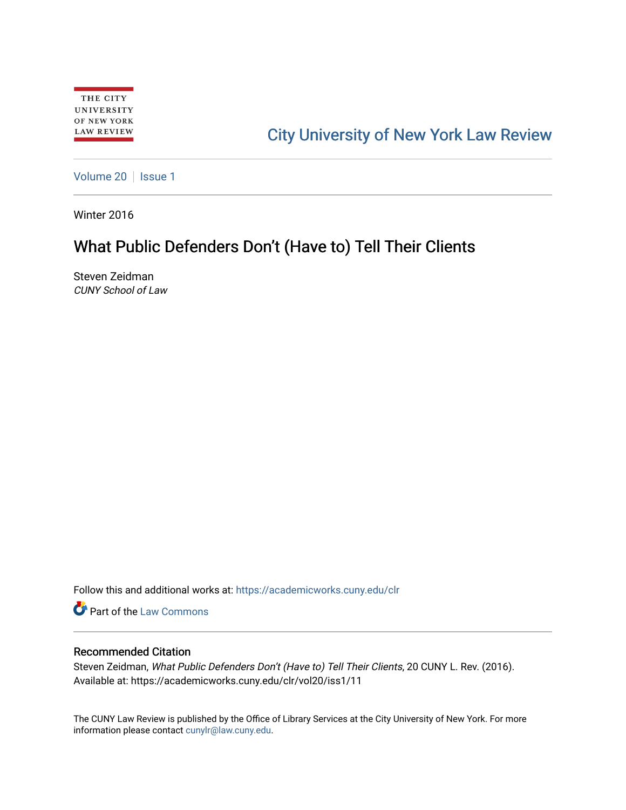# [City University of New York Law Review](https://academicworks.cuny.edu/clr)

[Volume 20](https://academicworks.cuny.edu/clr/vol20) | [Issue 1](https://academicworks.cuny.edu/clr/vol20/iss1)

Winter 2016

## What Public Defenders Don't (Have to) Tell Their Clients

Steven Zeidman CUNY School of Law

Follow this and additional works at: [https://academicworks.cuny.edu/clr](https://academicworks.cuny.edu/clr?utm_source=academicworks.cuny.edu%2Fclr%2Fvol20%2Fiss1%2F11&utm_medium=PDF&utm_campaign=PDFCoverPages) 

**Part of the [Law Commons](http://network.bepress.com/hgg/discipline/578?utm_source=academicworks.cuny.edu%2Fclr%2Fvol20%2Fiss1%2F11&utm_medium=PDF&utm_campaign=PDFCoverPages)** 

#### Recommended Citation

Steven Zeidman, What Public Defenders Don't (Have to) Tell Their Clients, 20 CUNY L. Rev. (2016). Available at: https://academicworks.cuny.edu/clr/vol20/iss1/11

The CUNY Law Review is published by the Office of Library Services at the City University of New York. For more information please contact [cunylr@law.cuny.edu](mailto:cunylr@law.cuny.edu).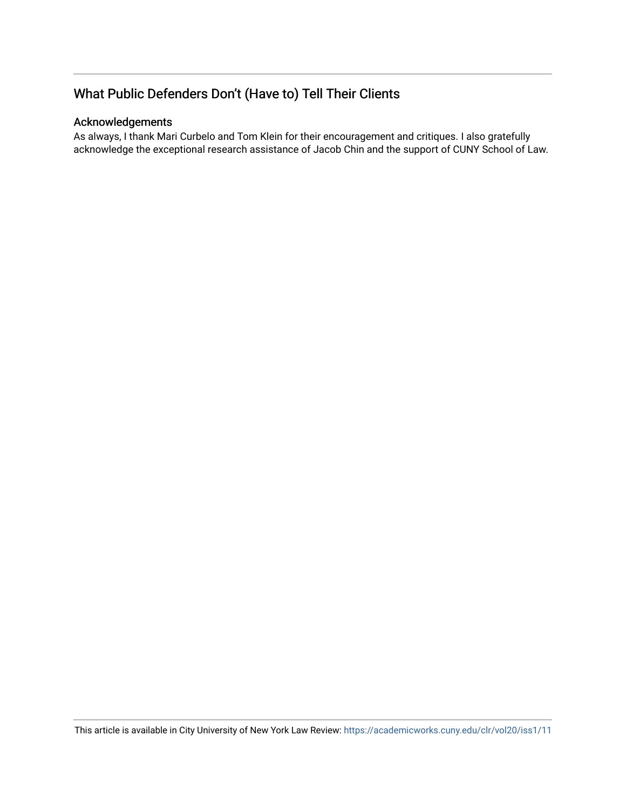## What Public Defenders Don't (Have to) Tell Their Clients

### Acknowledgements

As always, I thank Mari Curbelo and Tom Klein for their encouragement and critiques. I also gratefully acknowledge the exceptional research assistance of Jacob Chin and the support of CUNY School of Law.

This article is available in City University of New York Law Review:<https://academicworks.cuny.edu/clr/vol20/iss1/11>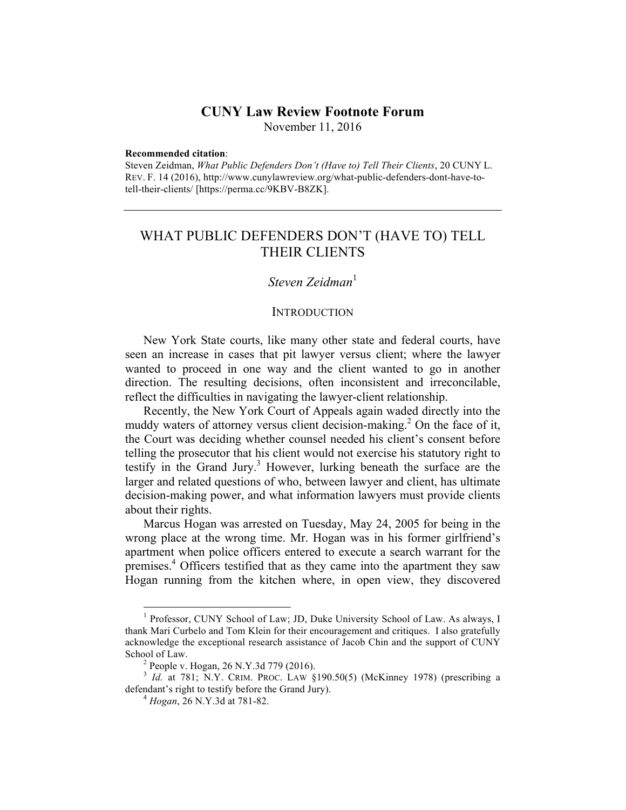### **CUNY Law Review Footnote Forum**

November 11, 2016

#### **Recommended citation**:

Steven Zeidman, *What Public Defenders Don't (Have to) Tell Their Clients*, 20 CUNY L. REV. F. 14 (2016), http://www.cunylawreview.org/what-public-defenders-dont-have-totell-their-clients/ [https://perma.cc/9KBV-B8ZK].

### WHAT PUBLIC DEFENDERS DON'T (HAVE TO) TELL THEIR CLIENTS

#### *Steven Zeidman*<sup>1</sup>

#### **INTRODUCTION**

New York State courts, like many other state and federal courts, have seen an increase in cases that pit lawyer versus client; where the lawyer wanted to proceed in one way and the client wanted to go in another direction. The resulting decisions, often inconsistent and irreconcilable, reflect the difficulties in navigating the lawyer-client relationship.

Recently, the New York Court of Appeals again waded directly into the muddy waters of attorney versus client decision-making.<sup>2</sup> On the face of it, the Court was deciding whether counsel needed his client's consent before telling the prosecutor that his client would not exercise his statutory right to testify in the Grand Jury.<sup>3</sup> However, lurking beneath the surface are the larger and related questions of who, between lawyer and client, has ultimate decision-making power, and what information lawyers must provide clients about their rights.

Marcus Hogan was arrested on Tuesday, May 24, 2005 for being in the wrong place at the wrong time. Mr. Hogan was in his former girlfriend's apartment when police officers entered to execute a search warrant for the premises.<sup>4</sup> Officers testified that as they came into the apartment they saw Hogan running from the kitchen where, in open view, they discovered

<sup>&</sup>lt;sup>1</sup> Professor, CUNY School of Law; JD, Duke University School of Law. As always, I thank Mari Curbelo and Tom Klein for their encouragement and critiques. I also gratefully acknowledge the exceptional research assistance of Jacob Chin and the support of CUNY School of Law.<br> $2$  People v. Hogan, 26 N.Y.3d 779 (2016).

<sup>&</sup>lt;sup>3</sup> *Id.* at 781; N.Y. CRIM. PROC. LAW §190.50(5) (McKinney 1978) (prescribing a defendant's right to testify before the Grand Jury). <sup>4</sup> *Hogan*, 26 N.Y.3d at 781-82.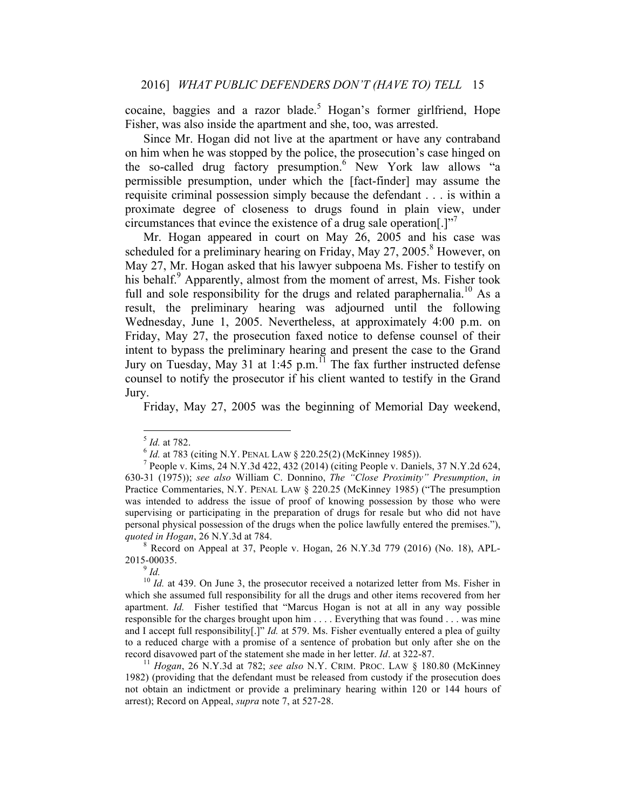cocaine, baggies and a razor blade.<sup>5</sup> Hogan's former girlfriend, Hope Fisher, was also inside the apartment and she, too, was arrested.

Since Mr. Hogan did not live at the apartment or have any contraband on him when he was stopped by the police, the prosecution's case hinged on the so-called drug factory presumption.<sup>6</sup> New York law allows "a permissible presumption, under which the [fact-finder] may assume the requisite criminal possession simply because the defendant . . . is within a proximate degree of closeness to drugs found in plain view, under circumstances that evince the existence of a drug sale operation.] $"$ 

Mr. Hogan appeared in court on May 26, 2005 and his case was scheduled for a preliminary hearing on Friday, May  $27, 2005$ .<sup>8</sup> However, on May 27, Mr. Hogan asked that his lawyer subpoena Ms. Fisher to testify on his behalf.<sup>9</sup> Apparently, almost from the moment of arrest, Ms. Fisher took full and sole responsibility for the drugs and related paraphernalia.<sup>10</sup> As a result, the preliminary hearing was adjourned until the following Wednesday, June 1, 2005. Nevertheless, at approximately 4:00 p.m. on Friday, May 27, the prosecution faxed notice to defense counsel of their intent to bypass the preliminary hearing and present the case to the Grand Jury on Tuesday, May 31 at 1:45 p.m.<sup>11</sup> The fax further instructed defense counsel to notify the prosecutor if his client wanted to testify in the Grand Jury.

Friday, May 27, 2005 was the beginning of Memorial Day weekend,

<sup>&</sup>lt;sup>5</sup> *Id.* at 782.<br>
<sup>6</sup> *Id.* at 783 (citing N.Y. PENAL LAW § 220.25(2) (McKinney 1985)).<br>
<sup>7</sup> People v. Kims, 24 N.Y.3d 422, 432 (2014) (citing People v. Daniels, 37 N.Y.2d 624, 630-31 (1975)); *see also* William C. Donnino, *The "Close Proximity" Presumption*, *in*  Practice Commentaries, N.Y. PENAL LAW § 220.25 (McKinney 1985) ("The presumption was intended to address the issue of proof of knowing possession by those who were supervising or participating in the preparation of drugs for resale but who did not have personal physical possession of the drugs when the police lawfully entered the premises."), *quoted in Hogan*, 26 N.Y.3d at 784.<br><sup>8</sup> Record on Appeal at 37, People v. Hogan, 26 N.Y.3d 779 (2016) (No. 18), APL-

<sup>2015-00035.</sup> 

 $\frac{9}{1}$ *Id.* 

<sup>&</sup>lt;sup>10</sup> *Id.* at 439. On June 3, the prosecutor received a notarized letter from Ms. Fisher in which she assumed full responsibility for all the drugs and other items recovered from her apartment. *Id.* Fisher testified that "Marcus Hogan is not at all in any way possible responsible for the charges brought upon him . . . . Everything that was found . . . was mine and I accept full responsibility[.]" *Id.* at 579. Ms. Fisher eventually entered a plea of guilty to a reduced charge with a promise of a sentence of probation but only after she on the record disavowed part of the statement she made in her letter. *Id*. at 322-87. <sup>11</sup> *Hogan*, 26 N.Y.3d at 782; *see also* N.Y. CRIM. PROC. LAW § 180.80 (McKinney

<sup>1982)</sup> (providing that the defendant must be released from custody if the prosecution does not obtain an indictment or provide a preliminary hearing within 120 or 144 hours of arrest); Record on Appeal, *supra* note 7, at 527-28.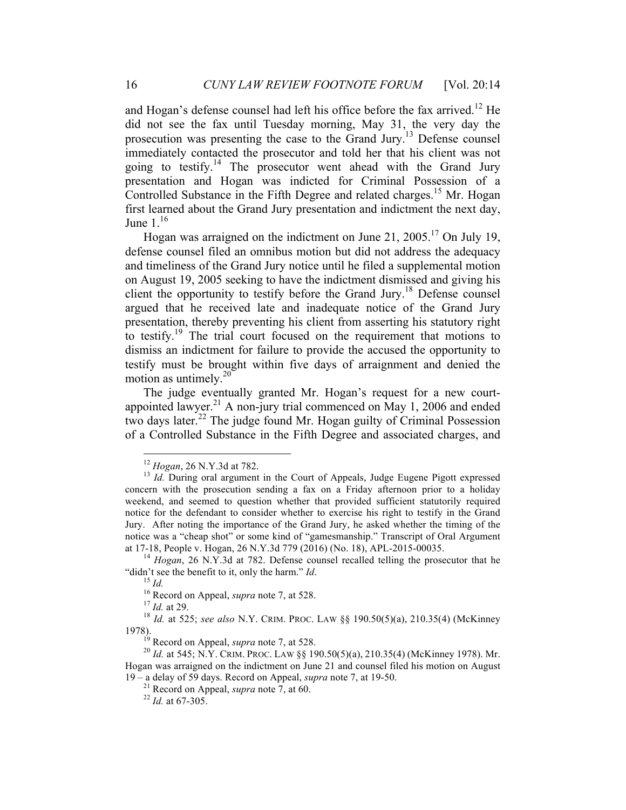and Hogan's defense counsel had left his office before the fax arrived.<sup>12</sup> He did not see the fax until Tuesday morning, May 31, the very day the prosecution was presenting the case to the Grand Jury.13 Defense counsel immediately contacted the prosecutor and told her that his client was not going to testify.<sup>14</sup> The prosecutor went ahead with the Grand Jury presentation and Hogan was indicted for Criminal Possession of a Controlled Substance in the Fifth Degree and related charges.<sup>15</sup> Mr. Hogan first learned about the Grand Jury presentation and indictment the next day, June  $1^{16}$ 

Hogan was arraigned on the indictment on June 21,  $2005$ <sup>17</sup> On July 19, defense counsel filed an omnibus motion but did not address the adequacy and timeliness of the Grand Jury notice until he filed a supplemental motion on August 19, 2005 seeking to have the indictment dismissed and giving his client the opportunity to testify before the Grand Jury.<sup>18</sup> Defense counsel argued that he received late and inadequate notice of the Grand Jury presentation, thereby preventing his client from asserting his statutory right to testify.19 The trial court focused on the requirement that motions to dismiss an indictment for failure to provide the accused the opportunity to testify must be brought within five days of arraignment and denied the motion as untimely. $20^{-7}$ 

The judge eventually granted Mr. Hogan's request for a new courtappointed lawyer.<sup>21</sup> A non-jury trial commenced on May 1, 2006 and ended two days later.<sup>22</sup> The judge found Mr. Hogan guilty of Criminal Possession of a Controlled Substance in the Fifth Degree and associated charges, and

<sup>&</sup>lt;sup>12</sup> *Hogan*, 26 N.Y.3d at 782.<br><sup>13</sup> *Id.* During oral argument in the Court of Appeals, Judge Eugene Pigott expressed concern with the prosecution sending a fax on a Friday afternoon prior to a holiday weekend, and seemed to question whether that provided sufficient statutorily required notice for the defendant to consider whether to exercise his right to testify in the Grand Jury. After noting the importance of the Grand Jury, he asked whether the timing of the notice was a "cheap shot" or some kind of "gamesmanship." Transcript of Oral Argument at 17-18, People v. Hogan, 26 N.Y.3d 779 (2016) (No. 18), APL-2015-00035. 14 *Hogan*, 26 N.Y.3d at 782. Defense counsel recalled telling the prosecutor that he

<sup>&</sup>quot;didn't see the benefit to it, only the harm." *Id.*<br><sup>15</sup> *Id.*<br><sup>16</sup> Record on Appeal, *supra* note 7, at 528.<br><sup>17</sup> *Id.* at 29.<br><sup>18</sup> *Id.* at 525; *see also* N.Y. CRIM. PROC. LAW §§ 190.50(5)(a), 210.35(4) (McKinney

<sup>1978).&</sup>lt;br><sup>19</sup> Record on Appeal, *supra* note 7, at 528.

<sup>&</sup>lt;sup>20</sup> Id. at 545; N.Y. CRIM. PROC. LAW §§ 190.50(5)(a), 210.35(4) (McKinney 1978). Mr. Hogan was arraigned on the indictment on June 21 and counsel filed his motion on August 19 – a delay of 59 days. Record on Appeal, *supra* note 7, at 19-50. 21 Record on Appeal, *supra* note 7, at 60. <sup>22</sup> *Id.* at 67-305.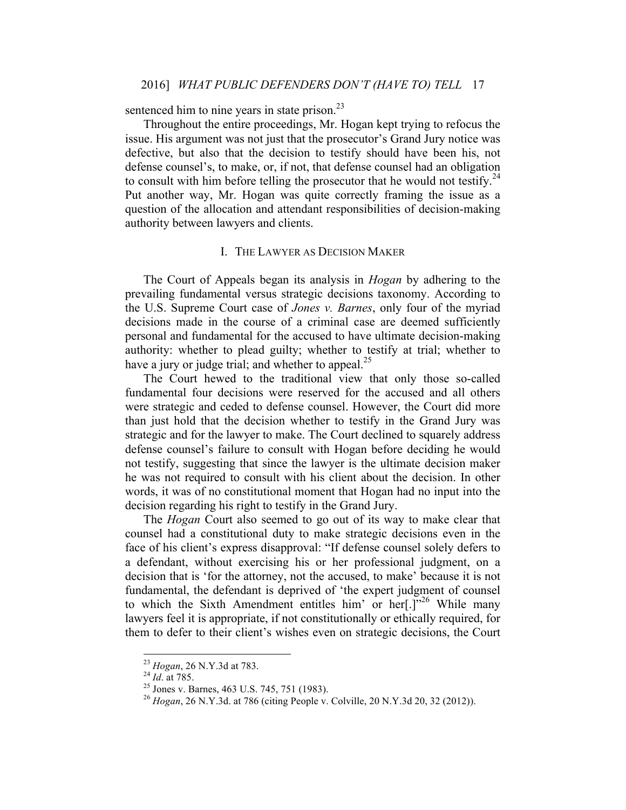sentenced him to nine years in state prison.<sup>23</sup>

Throughout the entire proceedings, Mr. Hogan kept trying to refocus the issue. His argument was not just that the prosecutor's Grand Jury notice was defective, but also that the decision to testify should have been his, not defense counsel's, to make, or, if not, that defense counsel had an obligation to consult with him before telling the prosecutor that he would not testify.<sup>24</sup> Put another way, Mr. Hogan was quite correctly framing the issue as a question of the allocation and attendant responsibilities of decision-making authority between lawyers and clients.

#### I. THE LAWYER AS DECISION MAKER

The Court of Appeals began its analysis in *Hogan* by adhering to the prevailing fundamental versus strategic decisions taxonomy. According to the U.S. Supreme Court case of *Jones v. Barnes*, only four of the myriad decisions made in the course of a criminal case are deemed sufficiently personal and fundamental for the accused to have ultimate decision-making authority: whether to plead guilty; whether to testify at trial; whether to have a jury or judge trial; and whether to appeal. $^{25}$ 

The Court hewed to the traditional view that only those so-called fundamental four decisions were reserved for the accused and all others were strategic and ceded to defense counsel. However, the Court did more than just hold that the decision whether to testify in the Grand Jury was strategic and for the lawyer to make. The Court declined to squarely address defense counsel's failure to consult with Hogan before deciding he would not testify, suggesting that since the lawyer is the ultimate decision maker he was not required to consult with his client about the decision. In other words, it was of no constitutional moment that Hogan had no input into the decision regarding his right to testify in the Grand Jury.

The *Hogan* Court also seemed to go out of its way to make clear that counsel had a constitutional duty to make strategic decisions even in the face of his client's express disapproval: "If defense counsel solely defers to a defendant, without exercising his or her professional judgment, on a decision that is 'for the attorney, not the accused, to make' because it is not fundamental, the defendant is deprived of 'the expert judgment of counsel to which the Sixth Amendment entitles him' or her $[.]^{2,26}$  While many lawyers feel it is appropriate, if not constitutionally or ethically required, for them to defer to their client's wishes even on strategic decisions, the Court

<sup>&</sup>lt;sup>23</sup> *Hogan*, 26 N.Y.3d at 783.<br><sup>24</sup> *Id.* at 785.<br><sup>25</sup> Jones v. Barnes, 463 U.S. 745, 751 (1983).<br><sup>26</sup> *Hogan*, 26 N.Y.3d. at 786 (citing People v. Colville, 20 N.Y.3d 20, 32 (2012)).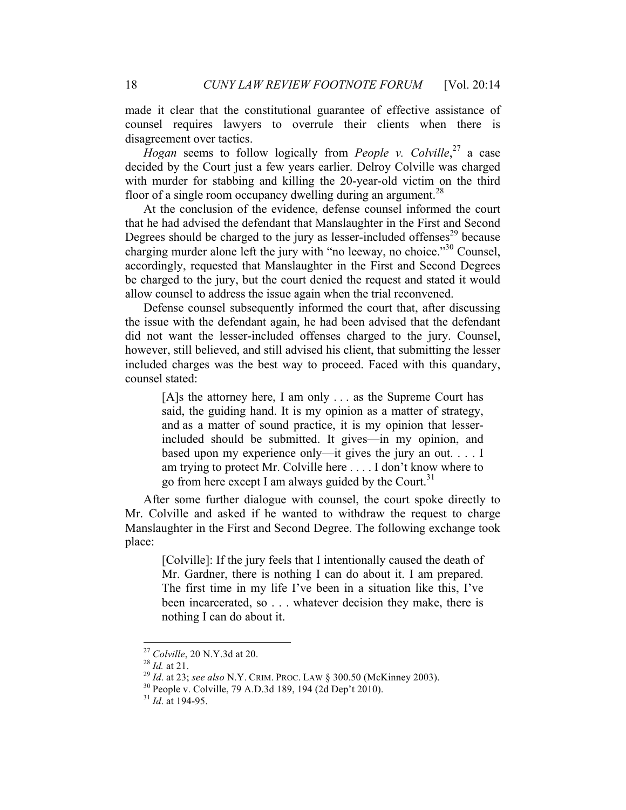made it clear that the constitutional guarantee of effective assistance of counsel requires lawyers to overrule their clients when there is disagreement over tactics.

*Hogan* seems to follow logically from *People v. Colville*, <sup>27</sup> a case decided by the Court just a few years earlier. Delroy Colville was charged with murder for stabbing and killing the 20-year-old victim on the third floor of a single room occupancy dwelling during an argument.<sup>28</sup>

At the conclusion of the evidence, defense counsel informed the court that he had advised the defendant that Manslaughter in the First and Second Degrees should be charged to the jury as lesser-included offenses $^{29}$  because charging murder alone left the jury with "no leeway, no choice."30 Counsel, accordingly, requested that Manslaughter in the First and Second Degrees be charged to the jury, but the court denied the request and stated it would allow counsel to address the issue again when the trial reconvened.

Defense counsel subsequently informed the court that, after discussing the issue with the defendant again, he had been advised that the defendant did not want the lesser-included offenses charged to the jury. Counsel, however, still believed, and still advised his client, that submitting the lesser included charges was the best way to proceed. Faced with this quandary, counsel stated:

[A]s the attorney here, I am only . . . as the Supreme Court has said, the guiding hand. It is my opinion as a matter of strategy, and as a matter of sound practice, it is my opinion that lesserincluded should be submitted. It gives—in my opinion, and based upon my experience only—it gives the jury an out. . . . I am trying to protect Mr. Colville here . . . . I don't know where to go from here except I am always guided by the Court.<sup>31</sup>

After some further dialogue with counsel, the court spoke directly to Mr. Colville and asked if he wanted to withdraw the request to charge Manslaughter in the First and Second Degree. The following exchange took place:

[Colville]: If the jury feels that I intentionally caused the death of Mr. Gardner, there is nothing I can do about it. I am prepared. The first time in my life I've been in a situation like this, I've been incarcerated, so . . . whatever decision they make, there is nothing I can do about it.

<sup>&</sup>lt;sup>27</sup> Colville, 20 N.Y.3d at 20.<br><sup>28</sup> *Id.* at 21.<br><sup>29</sup> *Id.* at 23; *see also* N.Y. CRIM. PROC. LAW § 300.50 (McKinney 2003).<br><sup>29</sup> *Id.* at 23; *see also* N.Y. CRIM. PROC. LAW § 300.50 (McKinney 2003).<br><sup>31</sup> *Id.* at 194-9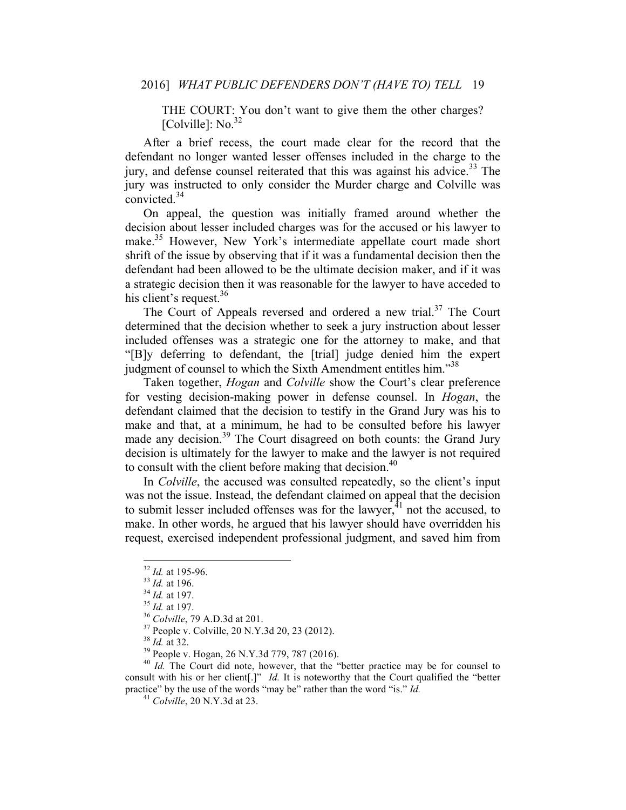THE COURT: You don't want to give them the other charges? [Colville]:  $\text{No.}^{32}$ 

After a brief recess, the court made clear for the record that the defendant no longer wanted lesser offenses included in the charge to the jury, and defense counsel reiterated that this was against his advice.<sup>33</sup> The jury was instructed to only consider the Murder charge and Colville was convicted.<sup>34</sup>

On appeal, the question was initially framed around whether the decision about lesser included charges was for the accused or his lawyer to make.<sup>35</sup> However, New York's intermediate appellate court made short shrift of the issue by observing that if it was a fundamental decision then the defendant had been allowed to be the ultimate decision maker, and if it was a strategic decision then it was reasonable for the lawyer to have acceded to his client's request.<sup>36</sup>

The Court of Appeals reversed and ordered a new trial.<sup>37</sup> The Court determined that the decision whether to seek a jury instruction about lesser included offenses was a strategic one for the attorney to make, and that "[B]y deferring to defendant, the [trial] judge denied him the expert judgment of counsel to which the Sixth Amendment entitles him."<sup>38</sup>

Taken together, *Hogan* and *Colville* show the Court's clear preference for vesting decision-making power in defense counsel. In *Hogan*, the defendant claimed that the decision to testify in the Grand Jury was his to make and that, at a minimum, he had to be consulted before his lawyer made any decision.<sup>39</sup> The Court disagreed on both counts: the Grand Jury decision is ultimately for the lawyer to make and the lawyer is not required to consult with the client before making that decision.<sup>40</sup>

In *Colville*, the accused was consulted repeatedly, so the client's input was not the issue. Instead, the defendant claimed on appeal that the decision to submit lesser included offenses was for the lawyer, ${}^{41}$  not the accused, to make. In other words, he argued that his lawyer should have overridden his request, exercised independent professional judgment, and saved him from

<sup>&</sup>lt;sup>32</sup> *Id.* at 195-96.<br><sup>33</sup> *Id.* at 196.<br><sup>34</sup> *Id.* at 197.<br><sup>35</sup> *Colville*, 79 A.D.3d at 201.<br><sup>37</sup> People v. Colville, 20 N.Y.3d 20, 23 (2012).<br><sup>37</sup> People v. Hogan, 26 N.Y.3d 779, 787 (2016).<br><sup>40</sup> *Id.* The Court did no consult with his or her client[.]" *Id.* It is noteworthy that the Court qualified the "better practice" by the use of the words "may be" rather than the word "is." *Id.* <sup>41</sup> *Colville*, 20 N.Y.3d at 23.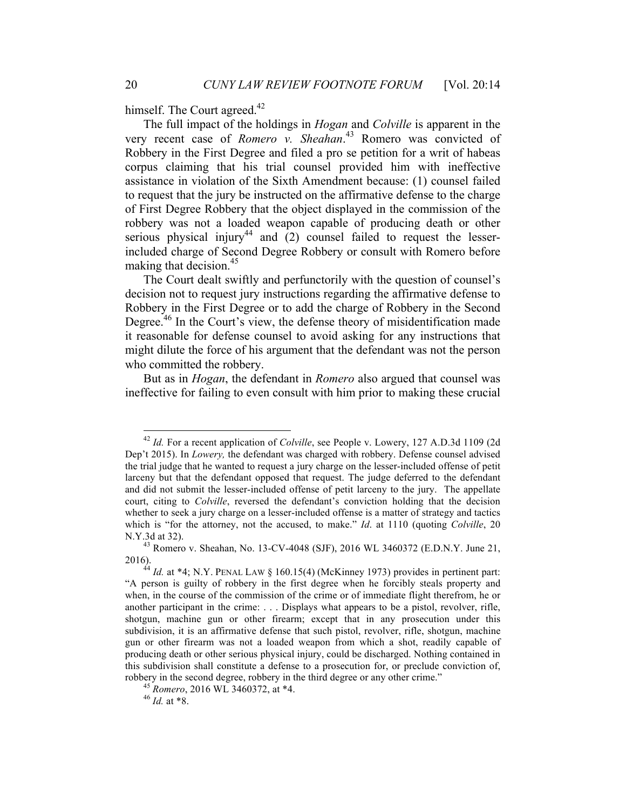himself. The Court agreed.<sup>42</sup>

The full impact of the holdings in *Hogan* and *Colville* is apparent in the very recent case of *Romero v. Sheahan*. <sup>43</sup> Romero was convicted of Robbery in the First Degree and filed a pro se petition for a writ of habeas corpus claiming that his trial counsel provided him with ineffective assistance in violation of the Sixth Amendment because: (1) counsel failed to request that the jury be instructed on the affirmative defense to the charge of First Degree Robbery that the object displayed in the commission of the robbery was not a loaded weapon capable of producing death or other serious physical injury<sup>44</sup> and  $(2)$  counsel failed to request the lesserincluded charge of Second Degree Robbery or consult with Romero before making that decision.  $45$ 

The Court dealt swiftly and perfunctorily with the question of counsel's decision not to request jury instructions regarding the affirmative defense to Robbery in the First Degree or to add the charge of Robbery in the Second Degree.<sup>46</sup> In the Court's view, the defense theory of misidentification made it reasonable for defense counsel to avoid asking for any instructions that might dilute the force of his argument that the defendant was not the person who committed the robbery.

But as in *Hogan*, the defendant in *Romero* also argued that counsel was ineffective for failing to even consult with him prior to making these crucial

 <sup>42</sup> *Id.* For a recent application of *Colville*, see People v. Lowery, 127 A.D.3d 1109 (2d Dep't 2015). In *Lowery,* the defendant was charged with robbery. Defense counsel advised the trial judge that he wanted to request a jury charge on the lesser-included offense of petit larceny but that the defendant opposed that request. The judge deferred to the defendant and did not submit the lesser-included offense of petit larceny to the jury. The appellate court, citing to *Colville*, reversed the defendant's conviction holding that the decision whether to seek a jury charge on a lesser-included offense is a matter of strategy and tactics which is "for the attorney, not the accused, to make." *Id*. at 1110 (quoting *Colville*, 20 N.Y.3d at 32). 43 Romero v. Sheahan, No. 13-CV-4048 (SJF), 2016 WL 3460372 (E.D.N.Y. June 21,

<sup>2016).</sup> <sup>44</sup> *Id.* at \*4; N.Y. PENAL LAW § 160.15(4) (McKinney 1973) provides in pertinent part:

<sup>&</sup>quot;A person is guilty of robbery in the first degree when he forcibly steals property and when, in the course of the commission of the crime or of immediate flight therefrom, he or another participant in the crime: . . . Displays what appears to be a pistol, revolver, rifle, shotgun, machine gun or other firearm; except that in any prosecution under this subdivision, it is an affirmative defense that such pistol, revolver, rifle, shotgun, machine gun or other firearm was not a loaded weapon from which a shot, readily capable of producing death or other serious physical injury, could be discharged. Nothing contained in this subdivision shall constitute a defense to a prosecution for, or preclude conviction of, robbery in the second degree, robbery in the third degree or any other crime."<br><sup>45</sup> *Romero*, 2016 WL 3460372, at \*4.<br><sup>46</sup> *Id* at \*8.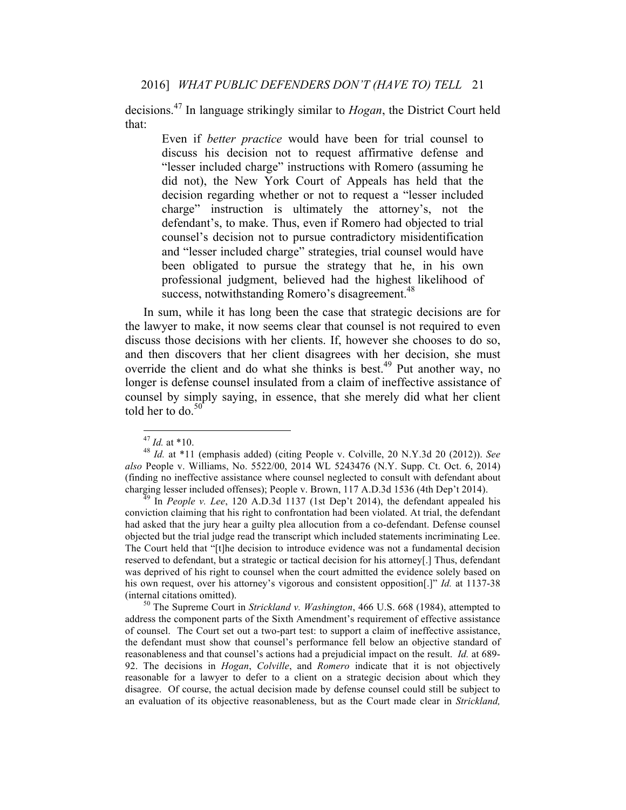decisions.<sup>47</sup> In language strikingly similar to *Hogan*, the District Court held that:

Even if *better practice* would have been for trial counsel to discuss his decision not to request affirmative defense and "lesser included charge" instructions with Romero (assuming he did not), the New York Court of Appeals has held that the decision regarding whether or not to request a "lesser included charge" instruction is ultimately the attorney's, not the defendant's, to make. Thus, even if Romero had objected to trial counsel's decision not to pursue contradictory misidentification and "lesser included charge" strategies, trial counsel would have been obligated to pursue the strategy that he, in his own professional judgment, believed had the highest likelihood of success, notwithstanding Romero's disagreement.<sup>48</sup>

In sum, while it has long been the case that strategic decisions are for the lawyer to make, it now seems clear that counsel is not required to even discuss those decisions with her clients. If, however she chooses to do so, and then discovers that her client disagrees with her decision, she must override the client and do what she thinks is best.<sup>49</sup> Put another way, no longer is defense counsel insulated from a claim of ineffective assistance of counsel by simply saying, in essence, that she merely did what her client told her to do. $50$ 

conviction claiming that his right to confrontation had been violated. At trial, the defendant had asked that the jury hear a guilty plea allocution from a co-defendant. Defense counsel objected but the trial judge read the transcript which included statements incriminating Lee. The Court held that "[t]he decision to introduce evidence was not a fundamental decision reserved to defendant, but a strategic or tactical decision for his attorney[.] Thus, defendant was deprived of his right to counsel when the court admitted the evidence solely based on his own request, over his attorney's vigorous and consistent opposition<sup>[1]</sup> *Id.* at 1137-38 (internal citations omitted). <sup>50</sup> The Supreme Court in *Strickland v. Washington*, 466 U.S. 668 (1984), attempted to

address the component parts of the Sixth Amendment's requirement of effective assistance of counsel. The Court set out a two-part test: to support a claim of ineffective assistance, the defendant must show that counsel's performance fell below an objective standard of reasonableness and that counsel's actions had a prejudicial impact on the result. *Id.* at 689- 92. The decisions in *Hogan*, *Colville*, and *Romero* indicate that it is not objectively reasonable for a lawyer to defer to a client on a strategic decision about which they disagree. Of course, the actual decision made by defense counsel could still be subject to an evaluation of its objective reasonableness, but as the Court made clear in *Strickland,*

<sup>47</sup> *Id.* at \*10. <sup>48</sup> *Id.* at \*11 (emphasis added) (citing People v. Colville, 20 N.Y.3d 20 (2012)). *See also* People v. Williams, No. 5522/00, 2014 WL 5243476 (N.Y. Supp. Ct. Oct. 6, 2014) (finding no ineffective assistance where counsel neglected to consult with defendant about charging lesser included offenses); People v. Brown, 117 A.D.3d 1536 (4th Dep't 2014). <sup>49</sup> In *People v. Lee*, 120 A.D.3d 1137 (1st Dep't 2014), the defendant appealed his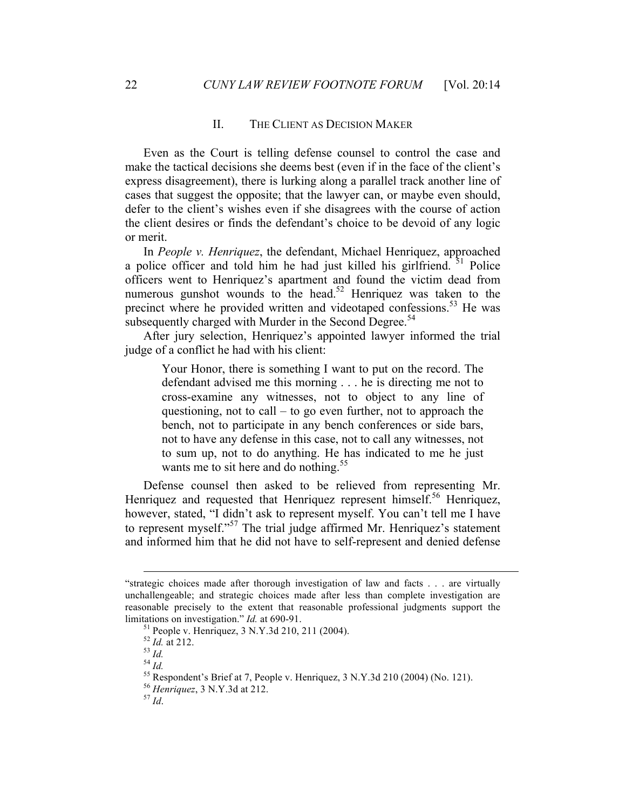#### II. THE CLIENT AS DECISION MAKER

Even as the Court is telling defense counsel to control the case and make the tactical decisions she deems best (even if in the face of the client's express disagreement), there is lurking along a parallel track another line of cases that suggest the opposite; that the lawyer can, or maybe even should, defer to the client's wishes even if she disagrees with the course of action the client desires or finds the defendant's choice to be devoid of any logic or merit.

In *People v. Henriquez*, the defendant, Michael Henriquez, approached a police officer and told him he had just killed his girlfriend.  $51$  Police officers went to Henriquez's apartment and found the victim dead from numerous gunshot wounds to the head.<sup>52</sup> Henriquez was taken to the precinct where he provided written and videotaped confessions.<sup>53</sup> He was subsequently charged with Murder in the Second Degree.<sup>54</sup>

After jury selection, Henriquez's appointed lawyer informed the trial judge of a conflict he had with his client:

Your Honor, there is something I want to put on the record. The defendant advised me this morning . . . he is directing me not to cross-examine any witnesses, not to object to any line of questioning, not to call  $-$  to go even further, not to approach the bench, not to participate in any bench conferences or side bars, not to have any defense in this case, not to call any witnesses, not to sum up, not to do anything. He has indicated to me he just wants me to sit here and do nothing.<sup>55</sup>

Defense counsel then asked to be relieved from representing Mr. Henriquez and requested that Henriquez represent himself.<sup>56</sup> Henriquez, however, stated, "I didn't ask to represent myself. You can't tell me I have to represent myself."<sup>57</sup> The trial judge affirmed Mr. Henriquez's statement and informed him that he did not have to self-represent and denied defense

 $\overline{a}$ 

<sup>&</sup>quot;strategic choices made after thorough investigation of law and facts . . . are virtually unchallengeable; and strategic choices made after less than complete investigation are reasonable precisely to the extent that reasonable professional judgments support the limitations on investigation." *Id.* at 690-91.<br>
<sup>51</sup> People v. Henriquez, 3 N.Y.3d 210, 211 (2004).<br>
<sup>52</sup> *Id.* at 212.<br>
<sup>53</sup> *Id.*<br>
<sup>54</sup> *Id.*<br>
<sup>55</sup> Respondent's Brief at 7, People v. Henriquez, 3 N.Y.3d 210 (2004) (No.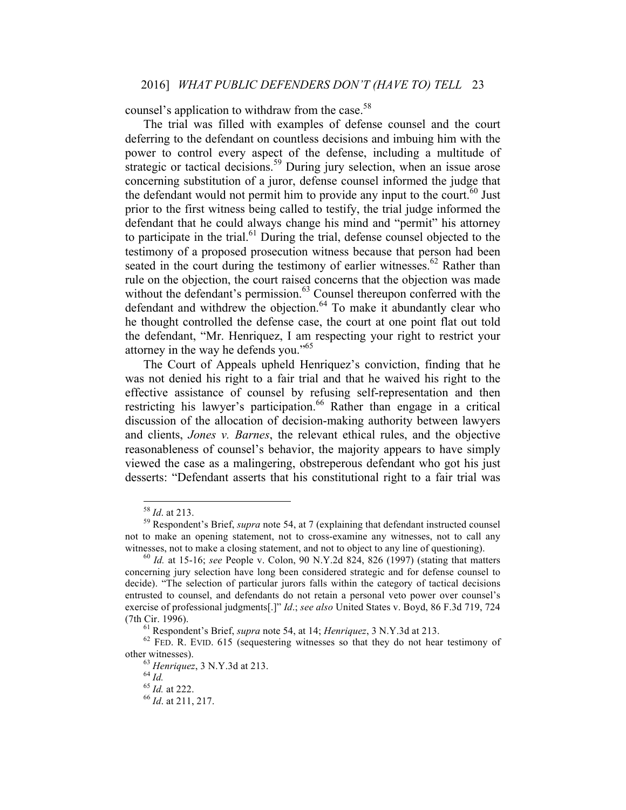counsel's application to withdraw from the case.<sup>58</sup>

The trial was filled with examples of defense counsel and the court deferring to the defendant on countless decisions and imbuing him with the power to control every aspect of the defense, including a multitude of strategic or tactical decisions.<sup>59</sup> During jury selection, when an issue arose concerning substitution of a juror, defense counsel informed the judge that the defendant would not permit him to provide any input to the court.<sup> $60$ </sup> Just prior to the first witness being called to testify, the trial judge informed the defendant that he could always change his mind and "permit" his attorney to participate in the trial.<sup>61</sup> During the trial, defense counsel objected to the testimony of a proposed prosecution witness because that person had been seated in the court during the testimony of earlier witnesses.<sup>62</sup> Rather than rule on the objection, the court raised concerns that the objection was made without the defendant's permission.<sup>63</sup> Counsel thereupon conferred with the defendant and withdrew the objection.<sup>64</sup> To make it abundantly clear who he thought controlled the defense case, the court at one point flat out told the defendant, "Mr. Henriquez, I am respecting your right to restrict your attorney in the way he defends you."<sup>65</sup>

The Court of Appeals upheld Henriquez's conviction, finding that he was not denied his right to a fair trial and that he waived his right to the effective assistance of counsel by refusing self-representation and then restricting his lawyer's participation.<sup>66</sup> Rather than engage in a critical discussion of the allocation of decision-making authority between lawyers and clients, *Jones v. Barnes*, the relevant ethical rules, and the objective reasonableness of counsel's behavior, the majority appears to have simply viewed the case as a malingering, obstreperous defendant who got his just desserts: "Defendant asserts that his constitutional right to a fair trial was

<sup>58</sup> *Id*. at 213. 59 Respondent's Brief, *supra* note 54, at 7 (explaining that defendant instructed counsel not to make an opening statement, not to cross-examine any witnesses, not to call any witnesses, not to make a closing statement, and not to object to any line of questioning).<br><sup>60</sup> *Id.* at 15-16; *see* People v. Colon, 90 N.Y.2d 824, 826 (1997) (stating that matters

concerning jury selection have long been considered strategic and for defense counsel to decide). "The selection of particular jurors falls within the category of tactical decisions entrusted to counsel, and defendants do not retain a personal veto power over counsel's exercise of professional judgments[.]" *Id*.; *see also* United States v. Boyd, 86 F.3d 719, 724 (7th Cir. 1996). <sup>61</sup> Respondent's Brief, *supra* note 54, at 14; *Henriquez*, 3 N.Y.3d at 213. 62 FED. R. EVID. <sup>615</sup> (sequestering witnesses so that they do not hear testimony of

other witnesses).<br>
<sup>63</sup> *Henriquez*, 3 N.Y.3d at 213.<br>
<sup>64</sup> *Id.* at 222.<br>
<sup>66</sup> *Id.* at 211, 217.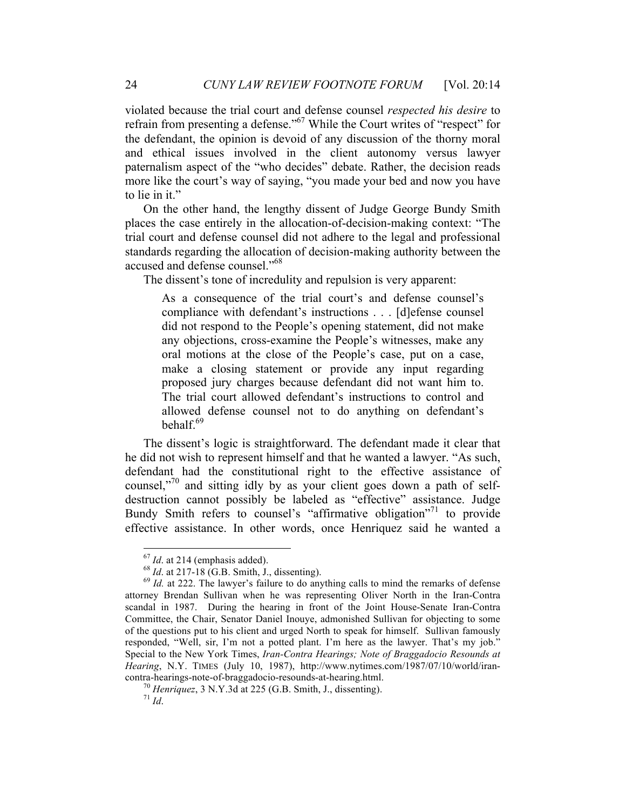violated because the trial court and defense counsel *respected his desire* to refrain from presenting a defense."67 While the Court writes of "respect" for the defendant, the opinion is devoid of any discussion of the thorny moral and ethical issues involved in the client autonomy versus lawyer paternalism aspect of the "who decides" debate. Rather, the decision reads more like the court's way of saying, "you made your bed and now you have to lie in it."

On the other hand, the lengthy dissent of Judge George Bundy Smith places the case entirely in the allocation-of-decision-making context: "The trial court and defense counsel did not adhere to the legal and professional standards regarding the allocation of decision-making authority between the accused and defense counsel."68

The dissent's tone of incredulity and repulsion is very apparent:

As a consequence of the trial court's and defense counsel's compliance with defendant's instructions . . . [d]efense counsel did not respond to the People's opening statement, did not make any objections, cross-examine the People's witnesses, make any oral motions at the close of the People's case, put on a case, make a closing statement or provide any input regarding proposed jury charges because defendant did not want him to. The trial court allowed defendant's instructions to control and allowed defense counsel not to do anything on defendant's behal $f^{69}$ 

The dissent's logic is straightforward. The defendant made it clear that he did not wish to represent himself and that he wanted a lawyer. "As such, defendant had the constitutional right to the effective assistance of counsel, $1^{70}$  and sitting idly by as your client goes down a path of selfdestruction cannot possibly be labeled as "effective" assistance. Judge Bundy Smith refers to counsel's "affirmative obligation"<sup>71</sup> to provide effective assistance. In other words, once Henriquez said he wanted a

<sup>&</sup>lt;sup>67</sup> *Id.* at 214 (emphasis added).<br><sup>68</sup> *Id.* at 217-18 (G.B. Smith, J., dissenting).<br><sup>69</sup> *Id.* at 222. The lawyer's failure to do anything calls to mind the remarks of defense attorney Brendan Sullivan when he was representing Oliver North in the Iran-Contra scandal in 1987. During the hearing in front of the Joint House-Senate Iran-Contra Committee, the Chair, Senator Daniel Inouye, admonished Sullivan for objecting to some of the questions put to his client and urged North to speak for himself. Sullivan famously responded, "Well, sir, I'm not a potted plant. I'm here as the lawyer. That's my job." Special to the New York Times, *Iran-Contra Hearings; Note of Braggadocio Resounds at Hearing*, N.Y. TIMES (July 10, 1987), http://www.nytimes.com/1987/07/10/world/irancontra-hearings-note-of-braggadocio-resounds-at-hearing.html. <sup>70</sup> *Henriquez*, 3 N.Y.3d at 225 (G.B. Smith, J., dissenting). <sup>71</sup> *Id*.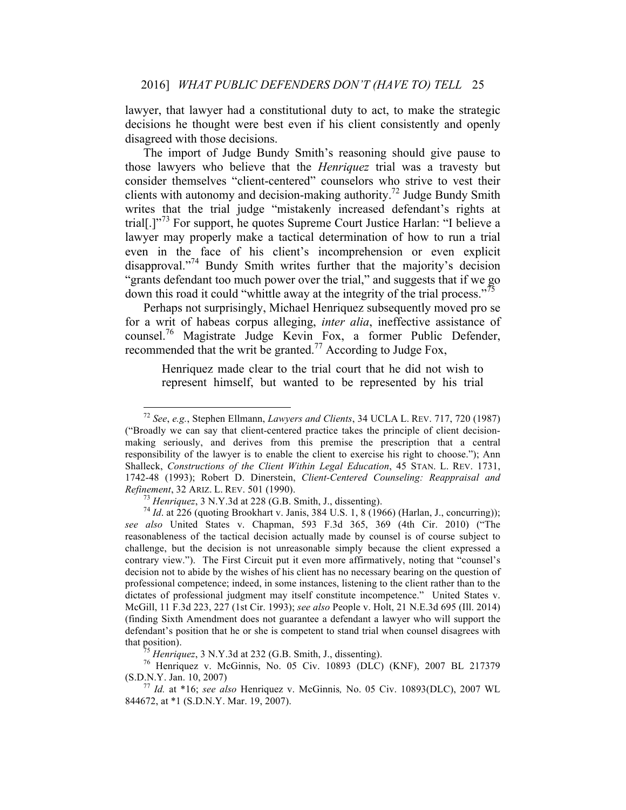lawyer, that lawyer had a constitutional duty to act, to make the strategic decisions he thought were best even if his client consistently and openly disagreed with those decisions.

The import of Judge Bundy Smith's reasoning should give pause to those lawyers who believe that the *Henriquez* trial was a travesty but consider themselves "client-centered" counselors who strive to vest their clients with autonomy and decision-making authority.<sup>72</sup> Judge Bundy Smith writes that the trial judge "mistakenly increased defendant's rights at trial[.]<sup>"73</sup> For support, he quotes Supreme Court Justice Harlan: "I believe a lawyer may properly make a tactical determination of how to run a trial even in the face of his client's incomprehension or even explicit disapproval."<sup>74</sup> Bundy Smith writes further that the majority's decision "grants defendant too much power over the trial," and suggests that if we go down this road it could "whittle away at the integrity of the trial process."<sup>75</sup>

Perhaps not surprisingly, Michael Henriquez subsequently moved pro se for a writ of habeas corpus alleging, *inter alia*, ineffective assistance of counsel.76 Magistrate Judge Kevin Fox, a former Public Defender, recommended that the writ be granted.<sup>77</sup> According to Judge Fox,

Henriquez made clear to the trial court that he did not wish to represent himself, but wanted to be represented by his trial

 <sup>72</sup> *See*, *e.g.*, Stephen Ellmann, *Lawyers and Clients*, 34 UCLA L. REV. 717, 720 (1987) ("Broadly we can say that client-centered practice takes the principle of client decisionmaking seriously, and derives from this premise the prescription that a central responsibility of the lawyer is to enable the client to exercise his right to choose."); Ann Shalleck, *Constructions of the Client Within Legal Education*, 45 STAN. L. REV. 1731, 1742-48 (1993); Robert D. Dinerstein, *Client-Centered Counseling: Reappraisal and Refinement*, 32 ARIZ. L. REV. 501 (1990).<br><sup>73</sup> *Henriquez*, 3 N.Y.3d at 228 (G.B. Smith, J., dissenting).<br><sup>74</sup> *Id.* at 226 (quoting Brookhart v. Janis, 384 U.S. 1, 8 (1966) (Harlan, J., concurring));

*see also* United States v. Chapman, 593 F.3d 365, 369 (4th Cir. 2010) ("The reasonableness of the tactical decision actually made by counsel is of course subject to challenge, but the decision is not unreasonable simply because the client expressed a contrary view."). The First Circuit put it even more affirmatively, noting that "counsel's decision not to abide by the wishes of his client has no necessary bearing on the question of professional competence; indeed, in some instances, listening to the client rather than to the dictates of professional judgment may itself constitute incompetence." United States v. McGill, 11 F.3d 223, 227 (1st Cir. 1993); *see also* People v. Holt, 21 N.E.3d 695 (Ill. 2014) (finding Sixth Amendment does not guarantee a defendant a lawyer who will support the defendant's position that he or she is competent to stand trial when counsel disagrees with that position).<br> $^{75}$  Henriquez, 3 N.Y.3d at 232 (G.B. Smith, J., dissenting).

<sup>&</sup>lt;sup>76</sup> Henriquez v. McGinnis, No. 05 Civ. 10893 (DLC) (KNF), 2007 BL 217379 (S.D.N.Y. Jan. 10, 2007) <sup>77</sup> *Id.* at \*16; *see also* Henriquez v. McGinnis*,* No. 05 Civ. 10893(DLC), 2007 WL

<sup>844672,</sup> at \*1 (S.D.N.Y. Mar. 19, 2007).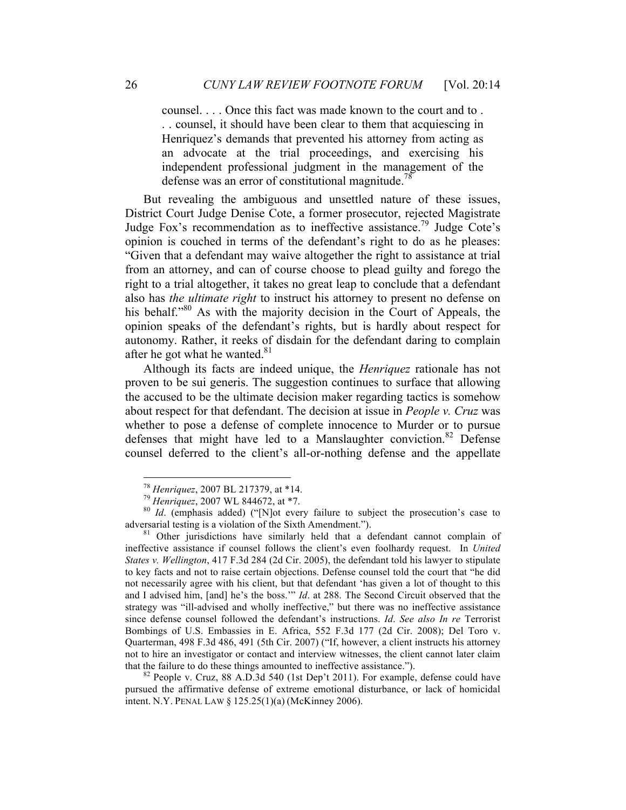counsel. . . . Once this fact was made known to the court and to . . . counsel, it should have been clear to them that acquiescing in Henriquez's demands that prevented his attorney from acting as an advocate at the trial proceedings, and exercising his independent professional judgment in the management of the defense was an error of constitutional magnitude.<sup>78</sup>

But revealing the ambiguous and unsettled nature of these issues, District Court Judge Denise Cote, a former prosecutor, rejected Magistrate Judge Fox's recommendation as to ineffective assistance.<sup>79</sup> Judge Cote's opinion is couched in terms of the defendant's right to do as he pleases: "Given that a defendant may waive altogether the right to assistance at trial from an attorney, and can of course choose to plead guilty and forego the right to a trial altogether, it takes no great leap to conclude that a defendant also has *the ultimate right* to instruct his attorney to present no defense on his behalf."<sup>80</sup> As with the majority decision in the Court of Appeals, the opinion speaks of the defendant's rights, but is hardly about respect for autonomy. Rather, it reeks of disdain for the defendant daring to complain after he got what he wanted.<sup>81</sup>

Although its facts are indeed unique, the *Henriquez* rationale has not proven to be sui generis. The suggestion continues to surface that allowing the accused to be the ultimate decision maker regarding tactics is somehow about respect for that defendant. The decision at issue in *People v. Cruz* was whether to pose a defense of complete innocence to Murder or to pursue defenses that might have led to a Manslaughter conviction.<sup>82</sup> Defense counsel deferred to the client's all-or-nothing defense and the appellate

<sup>&</sup>lt;sup>78</sup> *Henriquez*, 2007 BL 217379, at \*14.<br><sup>79</sup> *Henriquez*, 2007 WL 844672, at \*7.<br><sup>80</sup> *Id*. (emphasis added) ("[N]ot every failure to subject the prosecution's case to adversarial testing is a violation of the Sixth Amen

 $81$  Other jurisdictions have similarly held that a defendant cannot complain of ineffective assistance if counsel follows the client's even foolhardy request. In *United States v. Wellington*, 417 F.3d 284 (2d Cir. 2005), the defendant told his lawyer to stipulate to key facts and not to raise certain objections. Defense counsel told the court that "he did not necessarily agree with his client, but that defendant 'has given a lot of thought to this and I advised him, [and] he's the boss.'" *Id*. at 288. The Second Circuit observed that the strategy was "ill-advised and wholly ineffective," but there was no ineffective assistance since defense counsel followed the defendant's instructions. *Id*. *See also In re* Terrorist Bombings of U.S. Embassies in E. Africa, 552 F.3d 177 (2d Cir. 2008); Del Toro v. Quarterman, 498 F.3d 486, 491 (5th Cir. 2007) ("If, however, a client instructs his attorney not to hire an investigator or contact and interview witnesses, the client cannot later claim that the failure to do these things amounted to ineffective assistance."). <sup>82</sup> People v. Cruz, 88 A.D.3d 540 (1st Dep't 2011). For example, defense could have

pursued the affirmative defense of extreme emotional disturbance, or lack of homicidal intent. N.Y. PENAL LAW § 125.25(1)(a) (McKinney 2006).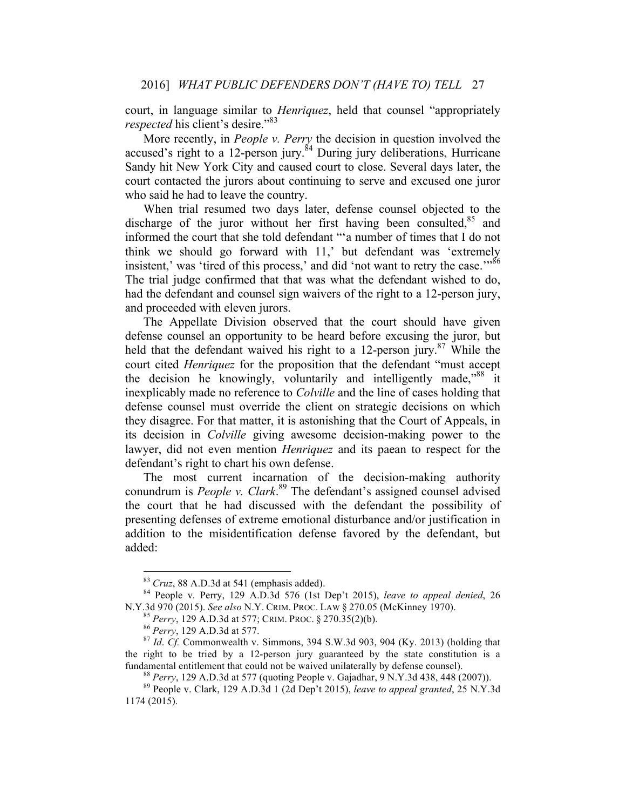court, in language similar to *Henriquez*, held that counsel "appropriately *respected* his client's desire."<sup>83</sup>

More recently, in *People v. Perry* the decision in question involved the accused's right to a 12-person jury.<sup>84</sup> During jury deliberations, Hurricane Sandy hit New York City and caused court to close. Several days later, the court contacted the jurors about continuing to serve and excused one juror who said he had to leave the country.

When trial resumed two days later, defense counsel objected to the discharge of the juror without her first having been consulted.<sup>85</sup> and informed the court that she told defendant "'a number of times that I do not think we should go forward with 11,' but defendant was 'extremely insistent,' was 'tired of this process,' and did 'not want to retry the case.'"<sup>86</sup> The trial judge confirmed that that was what the defendant wished to do, had the defendant and counsel sign waivers of the right to a 12-person jury, and proceeded with eleven jurors.

The Appellate Division observed that the court should have given defense counsel an opportunity to be heard before excusing the juror, but held that the defendant waived his right to a 12-person jury. $87$  While the court cited *Henriquez* for the proposition that the defendant "must accept the decision he knowingly, voluntarily and intelligently made,<sup>88</sup> it inexplicably made no reference to *Colville* and the line of cases holding that defense counsel must override the client on strategic decisions on which they disagree. For that matter, it is astonishing that the Court of Appeals, in its decision in *Colville* giving awesome decision-making power to the lawyer, did not even mention *Henriquez* and its paean to respect for the defendant's right to chart his own defense.

The most current incarnation of the decision-making authority conundrum is *People v. Clark*. <sup>89</sup> The defendant's assigned counsel advised the court that he had discussed with the defendant the possibility of presenting defenses of extreme emotional disturbance and/or justification in addition to the misidentification defense favored by the defendant, but added:

<sup>&</sup>lt;sup>83</sup> *Cruz*, 88 A.D.3d at 541 (emphasis added).<br><sup>84</sup> People v. Perry, 129 A.D.3d 576 (1st Dep't 2015), *leave to appeal denied*, 26<br>N.Y.3d 970 (2015). *See also* N.Y. CRIM. PROC. LAW § 270.05 (McKinney 1970).

<sup>&</sup>lt;sup>85</sup> Perry, 129 A.D.3d at 577; CRIM. PROC. § 270.35(2)(b).<br><sup>86</sup> Perry, 129 A.D.3d at 577.<br><sup>87</sup> *Id. Cf.* Commonwealth v. Simmons, 394 S.W.3d 903, 904 (Ky. 2013) (holding that the right to be tried by a 12-person jury guaranteed by the state constitution is a fundamental entitlement that could not be waived unilaterally by defense counsel).

<sup>&</sup>lt;sup>88</sup> *Perry*, 129 A.D.3d at 577 (quoting People v. Gajadhar, 9 N.Y.3d 438, 448 (2007)).<br><sup>89</sup> People v. Clark, 129 A.D.3d 1 (2d Dep't 2015), *leave to appeal granted*, 25 N.Y.3d

<sup>1174 (2015).</sup>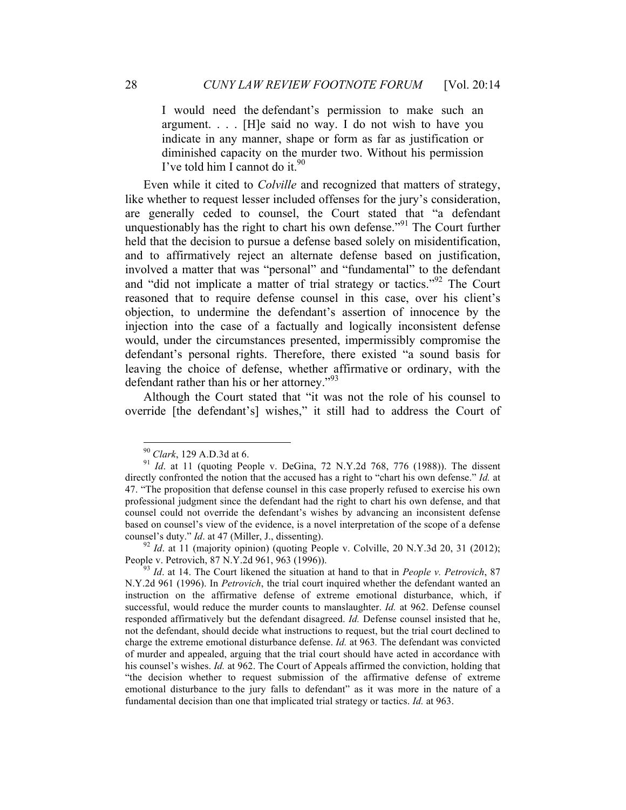I would need the defendant's permission to make such an argument. . . . [H]e said no way. I do not wish to have you indicate in any manner, shape or form as far as justification or diminished capacity on the murder two. Without his permission I've told him I cannot do it.  $90$ 

Even while it cited to *Colville* and recognized that matters of strategy, like whether to request lesser included offenses for the jury's consideration, are generally ceded to counsel, the Court stated that "a defendant unquestionably has the right to chart his own defense."<sup>91</sup> The Court further held that the decision to pursue a defense based solely on misidentification, and to affirmatively reject an alternate defense based on justification, involved a matter that was "personal" and "fundamental" to the defendant and "did not implicate a matter of trial strategy or tactics."<sup>92</sup> The Court reasoned that to require defense counsel in this case, over his client's objection, to undermine the defendant's assertion of innocence by the injection into the case of a factually and logically inconsistent defense would, under the circumstances presented, impermissibly compromise the defendant's personal rights. Therefore, there existed "a sound basis for leaving the choice of defense, whether affirmative or ordinary, with the defendant rather than his or her attorney."93

Although the Court stated that "it was not the role of his counsel to override [the defendant's] wishes," it still had to address the Court of

<sup>&</sup>lt;sup>90</sup> *Clark*, 129 A.D.3d at 6. **91** *Id.* at 11 (quoting People v. DeGina, 72 N.Y.2d 768, 776 (1988)). The dissent directly confronted the notion that the accused has a right to "chart his own defense." *Id.* at 47. "The proposition that defense counsel in this case properly refused to exercise his own professional judgment since the defendant had the right to chart his own defense, and that counsel could not override the defendant's wishes by advancing an inconsistent defense based on counsel's view of the evidence, is a novel interpretation of the scope of a defense

counsel's duty." *Id.* at 47 (Miller, J., dissenting).<br><sup>92</sup> *Id.* at 11 (majority opinion) (quoting People v. Colville, 20 N.Y.3d 20, 31 (2012);<br>People v. Petrovich, 87 N.Y.2d 961, 963 (1996)).

<sup>&</sup>lt;sup>93</sup> Id. at 14. The Court likened the situation at hand to that in *People v. Petrovich*, 87 N.Y.2d 961 (1996). In *Petrovich*, the trial court inquired whether the defendant wanted an instruction on the affirmative defense of extreme emotional disturbance, which, if successful, would reduce the murder counts to manslaughter. *Id.* at 962. Defense counsel responded affirmatively but the defendant disagreed. *Id.* Defense counsel insisted that he, not the defendant, should decide what instructions to request, but the trial court declined to charge the extreme emotional disturbance defense. *Id.* at 963*.* The defendant was convicted of murder and appealed, arguing that the trial court should have acted in accordance with his counsel's wishes. *Id.* at 962. The Court of Appeals affirmed the conviction, holding that "the decision whether to request submission of the affirmative defense of extreme emotional disturbance to the jury falls to defendant" as it was more in the nature of a fundamental decision than one that implicated trial strategy or tactics. *Id.* at 963.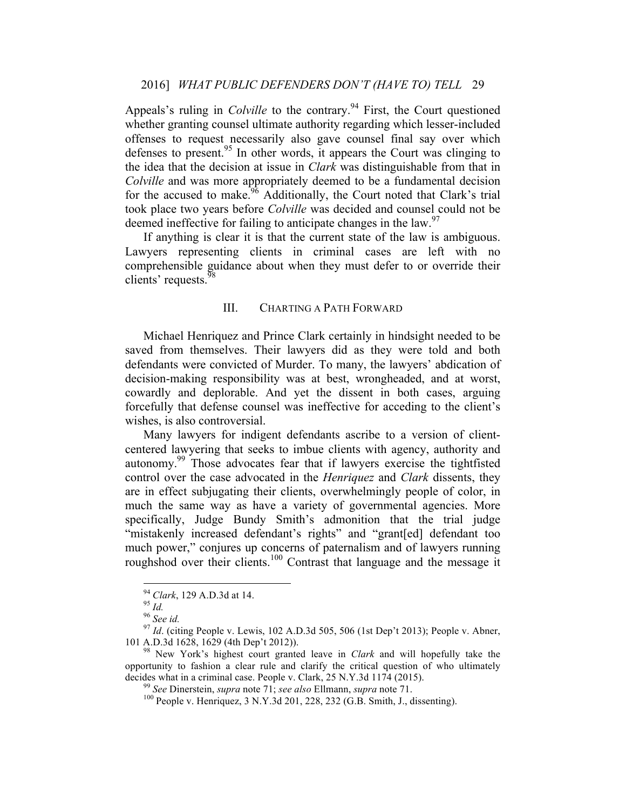Appeals's ruling in *Colville* to the contrary.<sup>94</sup> First, the Court questioned whether granting counsel ultimate authority regarding which lesser-included offenses to request necessarily also gave counsel final say over which defenses to present.<sup>95</sup> In other words, it appears the Court was clinging to the idea that the decision at issue in *Clark* was distinguishable from that in *Colville* and was more appropriately deemed to be a fundamental decision for the accused to make.<sup>96</sup> Additionally, the Court noted that Clark's trial took place two years before *Colville* was decided and counsel could not be deemed ineffective for failing to anticipate changes in the law.  $97$ 

If anything is clear it is that the current state of the law is ambiguous. Lawyers representing clients in criminal cases are left with no comprehensible guidance about when they must defer to or override their clients' requests.<sup>98</sup>

#### III. CHARTING A PATH FORWARD

Michael Henriquez and Prince Clark certainly in hindsight needed to be saved from themselves. Their lawyers did as they were told and both defendants were convicted of Murder. To many, the lawyers' abdication of decision-making responsibility was at best, wrongheaded, and at worst, cowardly and deplorable. And yet the dissent in both cases, arguing forcefully that defense counsel was ineffective for acceding to the client's wishes, is also controversial.

Many lawyers for indigent defendants ascribe to a version of clientcentered lawyering that seeks to imbue clients with agency, authority and autonomy.<sup>99</sup> Those advocates fear that if lawyers exercise the tightfisted control over the case advocated in the *Henriquez* and *Clark* dissents, they are in effect subjugating their clients, overwhelmingly people of color, in much the same way as have a variety of governmental agencies. More specifically, Judge Bundy Smith's admonition that the trial judge "mistakenly increased defendant's rights" and "grant[ed] defendant too much power," conjures up concerns of paternalism and of lawyers running roughshod over their clients.<sup>100</sup> Contrast that language and the message it

<sup>&</sup>lt;sup>94</sup> *Clark*, 129 A.D.3d at 14.<br><sup>95</sup> *Id.* 96 *See id.* 96 *See id.* 97 *Id.* (citing People v. Lewis, 102 A.D.3d 505, 506 (1st Dep't 2013); People v. Abner, 101 A.D.3d 1628, 1629 (4th Dep't 2012)).

<sup>&</sup>lt;sup>98</sup> New York's highest court granted leave in *Clark* and will hopefully take the opportunity to fashion a clear rule and clarify the critical question of who ultimately decides what in a criminal case. People v. Clark, 25 N.Y.3d 1174 (2015).<br><sup>99</sup> See Dinerstein, *supra* note 71; *see also* Ellmann, *supra* note 71.<br><sup>100</sup> People v. Henriquez, 3 N.Y.3d 201, 228, 232 (G.B. Smith, J., dissent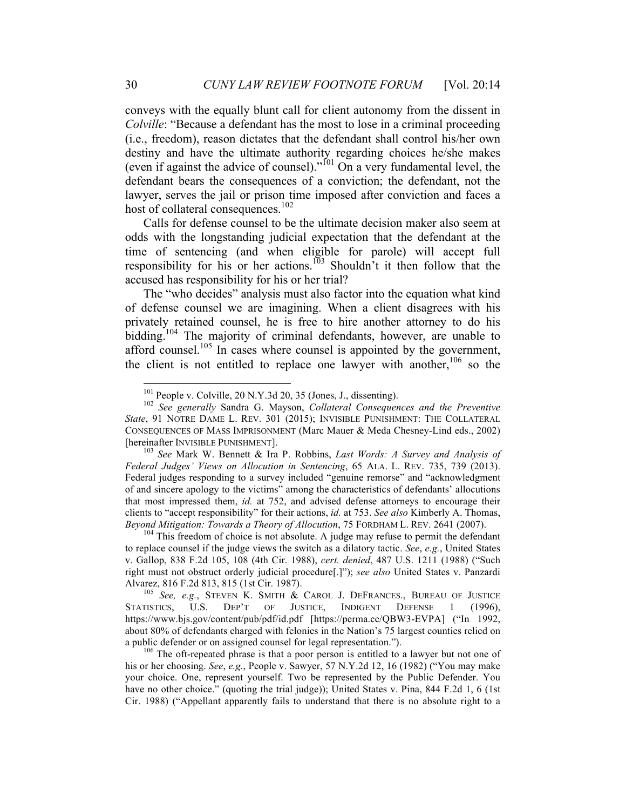conveys with the equally blunt call for client autonomy from the dissent in *Colville*: "Because a defendant has the most to lose in a criminal proceeding (i.e., freedom), reason dictates that the defendant shall control his/her own destiny and have the ultimate authority regarding choices he/she makes (even if against the advice of counsel)." $^{101}$  On a very fundamental level, the defendant bears the consequences of a conviction; the defendant, not the lawyer, serves the jail or prison time imposed after conviction and faces a host of collateral consequences.<sup>102</sup>

Calls for defense counsel to be the ultimate decision maker also seem at odds with the longstanding judicial expectation that the defendant at the time of sentencing (and when eligible for parole) will accept full responsibility for his or her actions.<sup>103</sup> Shouldn't it then follow that the accused has responsibility for his or her trial?

The "who decides" analysis must also factor into the equation what kind of defense counsel we are imagining. When a client disagrees with his privately retained counsel, he is free to hire another attorney to do his bidding.<sup>104</sup> The majority of criminal defendants, however, are unable to afford counsel.<sup>105</sup> In cases where counsel is appointed by the government, the client is not entitled to replace one lawyer with another,  $106$  so the

<sup>101</sup> People v. Colville, 20 N.Y.3d 20, 35 (Jones, J., dissenting). <sup>102</sup> *See generally* Sandra G. Mayson, *Collateral Consequences and the Preventive State*, 91 NOTRE DAME L. REV. 301 (2015); INVISIBLE PUNISHMENT: THE COLLATERAL CONSEQUENCES OF MASS IMPRISONMENT (Marc Mauer & Meda Chesney-Lind eds., 2002) [hereinafter INVISIBLE PUNISHMENT]. <sup>103</sup> *See* Mark W. Bennett & Ira P. Robbins, *Last Words: A Survey and Analysis of* 

*Federal Judges' Views on Allocution in Sentencing*, 65 ALA. L. REV. 735, 739 (2013). Federal judges responding to a survey included "genuine remorse" and "acknowledgment of and sincere apology to the victims" among the characteristics of defendants' allocutions that most impressed them, *id.* at 752, and advised defense attorneys to encourage their clients to "accept responsibility" for their actions, *id.* at 753. *See also* Kimberly A. Thomas, *Beyond Mitigation: Towards a Theory of Allocution*, 75 FORDHAM L. REV. 2641 (2007).<br><sup>104</sup> This freedom of choice is not absolute. A judge may refuse to permit the defendant

to replace counsel if the judge views the switch as a dilatory tactic. *See*, *e.g.*, United States v. Gallop, 838 F.2d 105, 108 (4th Cir. 1988), *cert. denied*, 487 U.S. 1211 (1988) ("Such right must not obstruct orderly judicial procedure[.]"); *see also* United States v. Panzardi Alvarez, 816 F.2d 813, 815 (1st Cir. 1987). <sup>105</sup> *See, e.g.*, STEVEN K. SMITH & CAROL J. DEFRANCES., BUREAU OF JUSTICE

STATISTICS, U.S. DEP'T OF JUSTICE, INDIGENT DEFENSE 1 (1996), https://www.bjs.gov/content/pub/pdf/id.pdf [https://perma.cc/QBW3-EVPA] ("In 1992, about 80% of defendants charged with felonies in the Nation's 75 largest counties relied on a public defender or on assigned counsel for legal representation.").<br><sup>106</sup> The oft-repeated phrase is that a poor person is entitled to a lawyer but not one of

his or her choosing. *See*, *e.g.*, People v. Sawyer, 57 N.Y.2d 12, 16 (1982) ("You may make your choice. One, represent yourself. Two be represented by the Public Defender. You have no other choice." (quoting the trial judge)); United States v. Pina, 844 F.2d 1, 6 (1st Cir. 1988) ("Appellant apparently fails to understand that there is no absolute right to a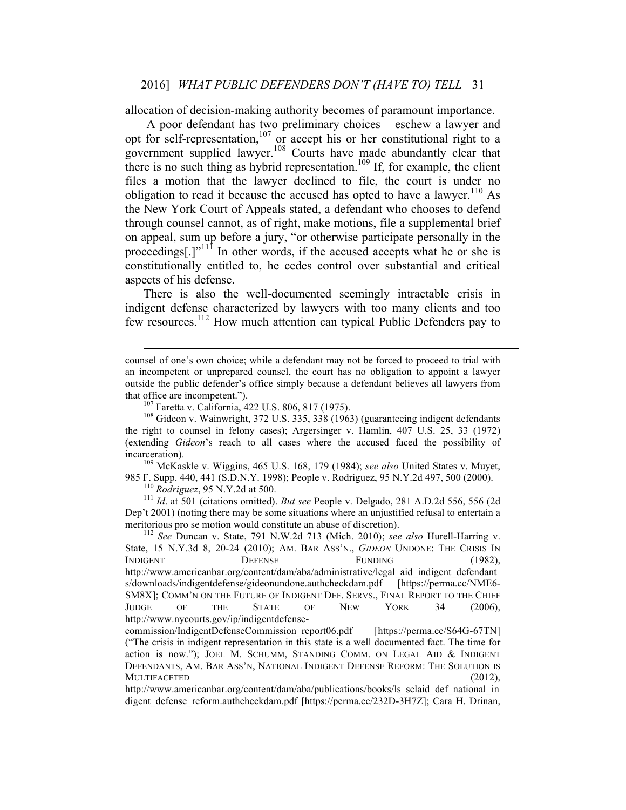allocation of decision-making authority becomes of paramount importance.

A poor defendant has two preliminary choices – eschew a lawyer and opt for self-representation,<sup>107</sup> or accept his or her constitutional right to a government supplied lawyer.<sup>108</sup> Courts have made abundantly clear that there is no such thing as hybrid representation.<sup>109</sup> If, for example, the client files a motion that the lawyer declined to file, the court is under no obligation to read it because the accused has opted to have a lawyer.<sup>110</sup> As the New York Court of Appeals stated, a defendant who chooses to defend through counsel cannot, as of right, make motions, file a supplemental brief on appeal, sum up before a jury, "or otherwise participate personally in the proceedings[.]"<sup>111</sup> In other words, if the accused accepts what he or she is constitutionally entitled to, he cedes control over substantial and critical aspects of his defense.

There is also the well-documented seemingly intractable crisis in indigent defense characterized by lawyers with too many clients and too few resources.112 How much attention can typical Public Defenders pay to

985 F. Supp. 440, 441 (S.D.N.Y. 1998); People v. Rodriguez, 95 N.Y.2d 497, 500 (2000).<br><sup>110</sup> *Rodriguez*, 95 N.Y.2d at 500.<br><sup>111</sup> *Id.* at 501 (citations omitted). *But see* People v. Delgado, 281 A.D.2d 556, 556 (2d

Dep't 2001) (noting there may be some situations where an unjustified refusal to entertain a meritorious pro se motion would constitute an abuse of discretion). <sup>112</sup> *See* Duncan v. State, 791 N.W.2d 713 (Mich. 2010); *see also* Hurell-Harring v.

State, 15 N.Y.3d 8, 20-24 (2010); AM. BAR ASS'N., *GIDEON* UNDONE: THE CRISIS IN INDIGENT DEFENSE FUNDING (1982), http://www.americanbar.org/content/dam/aba/administrative/legal\_aid\_indigent\_defendant s/downloads/indigentdefense/gideonundone.authcheckdam.pdf [https://perma.cc/NME6- SM8X]; COMM'N ON THE FUTURE OF INDIGENT DEF. SERVS., FINAL REPORT TO THE CHIEF JUDGE OF THE STATE OF NEW YORK 34 (2006), http://www.nycourts.gov/ip/indigentdefense-

counsel of one's own choice; while a defendant may not be forced to proceed to trial with an incompetent or unprepared counsel, the court has no obligation to appoint a lawyer outside the public defender's office simply because a defendant believes all lawyers from that office are incompetent.").<br><sup>107</sup> Faretta v. California, 422 U.S. 806, 817 (1975).<br><sup>108</sup> Gideon v. Wainwright, 372 U.S. 335, 338 (1963) (guaranteeing indigent defendants

the right to counsel in felony cases); Argersinger v. Hamlin, 407 U.S. 25, 33 (1972) (extending *Gideon*'s reach to all cases where the accused faced the possibility of incarceration). <sup>109</sup> McKaskle v. Wiggins, 465 U.S. 168, 179 (1984); *see also* United States v. Muyet,

commission/IndigentDefenseCommission\_report06.pdf [https://perma.cc/S64G-67TN] ("The crisis in indigent representation in this state is a well documented fact. The time for action is now."); JOEL M. SCHUMM, STANDING COMM. ON LEGAL AID & INDIGENT DEFENDANTS, AM. BAR ASS'N, NATIONAL INDIGENT DEFENSE REFORM: THE SOLUTION IS MULTIFACETED (2012),

http://www.americanbar.org/content/dam/aba/publications/books/ls\_sclaid\_def\_national\_in digent defense reform.authcheckdam.pdf [https://perma.cc/232D-3H7Z]; Cara H. Drinan,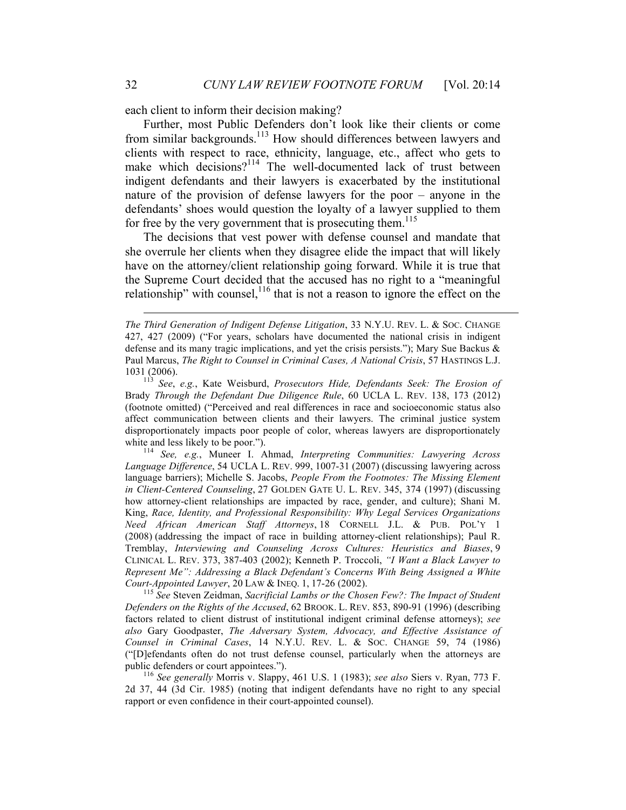each client to inform their decision making?

Further, most Public Defenders don't look like their clients or come from similar backgrounds.<sup>113</sup> How should differences between lawyers and clients with respect to race, ethnicity, language, etc., affect who gets to make which decisions?<sup>114</sup> The well-documented lack of trust between indigent defendants and their lawyers is exacerbated by the institutional nature of the provision of defense lawyers for the poor – anyone in the defendants' shoes would question the loyalty of a lawyer supplied to them for free by the very government that is prosecuting them.<sup>115</sup>

The decisions that vest power with defense counsel and mandate that she overrule her clients when they disagree elide the impact that will likely have on the attorney/client relationship going forward. While it is true that the Supreme Court decided that the accused has no right to a "meaningful relationship" with counsel,  $116$  that is not a reason to ignore the effect on the

*Language Difference*, 54 UCLA L. REV. 999, 1007-31 (2007) (discussing lawyering across language barriers); Michelle S. Jacobs, *People From the Footnotes: The Missing Element in Client-Centered Counseling*, 27 GOLDEN GATE U. L. REV. 345, 374 (1997) (discussing how attorney-client relationships are impacted by race, gender, and culture); Shani M. King, *Race, Identity, and Professional Responsibility: Why Legal Services Organizations Need African American Staff Attorneys*, 18 CORNELL J.L. & PUB. POL'Y 1 (2008) (addressing the impact of race in building attorney-client relationships); Paul R. Tremblay, *Interviewing and Counseling Across Cultures: Heuristics and Biases*, 9 CLINICAL L. REV. 373, 387-403 (2002); Kenneth P. Troccoli, *"I Want a Black Lawyer to Represent Me": Addressing a Black Defendant's Concerns With Being Assigned a White Court-Appointed Lawyer*, 20 LAW & INEQ. 1, 17-26 (2002).<br><sup>115</sup> *See* Steven Zeidman, *Sacrificial Lambs or the Chosen Few?: The Impact of Student* 

*Defenders on the Rights of the Accused*, 62 BROOK. L. REV. 853, 890-91 (1996) (describing factors related to client distrust of institutional indigent criminal defense attorneys); *see also* Gary Goodpaster, *The Adversary System, Advocacy, and Effective Assistance of Counsel in Criminal Cases*, 14 N.Y.U. REV. L. & SOC. CHANGE 59, 74 (1986) ("[D]efendants often do not trust defense counsel, particularly when the attorneys are public defenders or court appointees.").<br><sup>116</sup> *See generally* Morris v. Slappy, 461 U.S. 1 (1983); *see also* Siers v. Ryan, 773 F.

2d 37, 44 (3d Cir. 1985) (noting that indigent defendants have no right to any special rapport or even confidence in their court-appointed counsel).

 $\overline{a}$ 

*The Third Generation of Indigent Defense Litigation*, 33 N.Y.U. REV. L. & SOC. CHANGE 427, 427 (2009) ("For years, scholars have documented the national crisis in indigent defense and its many tragic implications, and yet the crisis persists."); Mary Sue Backus & Paul Marcus, *The Right to Counsel in Criminal Cases, A National Crisis*, 57 HASTINGS L.J.

<sup>1031 (2006).</sup> <sup>113</sup> *See*, *e.g.*, Kate Weisburd, *Prosecutors Hide, Defendants Seek: The Erosion of*  Brady *Through the Defendant Due Diligence Rule*, 60 UCLA L. REV. 138, 173 (2012) (footnote omitted) ("Perceived and real differences in race and socioeconomic status also affect communication between clients and their lawyers. The criminal justice system disproportionately impacts poor people of color, whereas lawyers are disproportionately white and less likely to be poor.").<br><sup>114</sup> *See, e.g.*, Muneer I. Ahmad, *Interpreting Communities: Lawyering Across*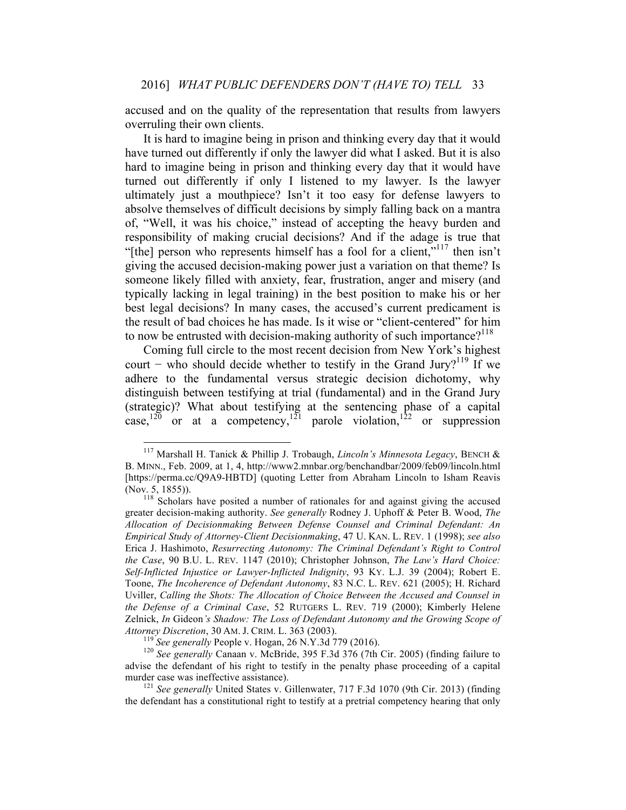accused and on the quality of the representation that results from lawyers overruling their own clients.

It is hard to imagine being in prison and thinking every day that it would have turned out differently if only the lawyer did what I asked. But it is also hard to imagine being in prison and thinking every day that it would have turned out differently if only I listened to my lawyer. Is the lawyer ultimately just a mouthpiece? Isn't it too easy for defense lawyers to absolve themselves of difficult decisions by simply falling back on a mantra of, "Well, it was his choice," instead of accepting the heavy burden and responsibility of making crucial decisions? And if the adage is true that "[the] person who represents himself has a fool for a client,"<sup>117</sup> then isn't giving the accused decision-making power just a variation on that theme? Is someone likely filled with anxiety, fear, frustration, anger and misery (and typically lacking in legal training) in the best position to make his or her best legal decisions? In many cases, the accused's current predicament is the result of bad choices he has made. Is it wise or "client-centered" for him to now be entrusted with decision-making authority of such importance?<sup>118</sup>

Coming full circle to the most recent decision from New York's highest court – who should decide whether to testify in the Grand Jury?<sup>119</sup> If we adhere to the fundamental versus strategic decision dichotomy, why distinguish between testifying at trial (fundamental) and in the Grand Jury (strategic)? What about testifying at the sentencing phase of a capital case,<sup>120</sup> or at a competency,<sup>121</sup> parole violation,<sup>122</sup> or suppression

 <sup>117</sup> Marshall H. Tanick & Phillip J. Trobaugh, *Lincoln's Minnesota Legacy*, BENCH & B. MINN., Feb. 2009, at 1, 4, http://www2.mnbar.org/benchandbar/2009/feb09/lincoln.html [https://perma.cc/Q9A9-HBTD] (quoting Letter from Abraham Lincoln to Isham Reavis (Nov. 5, 1855)).  $118$  Scholars have posited a number of rationales for and against giving the accused

greater decision-making authority. *See generally* Rodney J. Uphoff & Peter B. Wood, *The Allocation of Decisionmaking Between Defense Counsel and Criminal Defendant: An Empirical Study of Attorney-Client Decisionmaking*, 47 U. KAN. L. REV. 1 (1998); *see also* Erica J. Hashimoto, *Resurrecting Autonomy: The Criminal Defendant's Right to Control the Case*, 90 B.U. L. REV. 1147 (2010); Christopher Johnson, *The Law's Hard Choice: Self-Inflicted Injustice or Lawyer-Inflicted Indignity*, 93 KY. L.J. 39 (2004); Robert E. Toone, *The Incoherence of Defendant Autonomy*, 83 N.C. L. REV. 621 (2005); H. Richard Uviller, *Calling the Shots: The Allocation of Choice Between the Accused and Counsel in the Defense of a Criminal Case*, 52 RUTGERS L. REV. 719 (2000); Kimberly Helene Zelnick, *In* Gideon*'s Shadow: The Loss of Defendant Autonomy and the Growing Scope of Attorney Discretion*, 30 AM. J. CRIM. L. 363 (2003).<br><sup>119</sup> *See generally* People v. Hogan, 26 N.Y.3d 779 (2016).<br><sup>120</sup> *See generally* Canaan v. McBride, 395 F.3d 376 (7th Cir. 2005) (finding failure to

advise the defendant of his right to testify in the penalty phase proceeding of a capital murder case was ineffective assistance).<br><sup>121</sup> *See generally* United States v. Gillenwater, 717 F.3d 1070 (9th Cir. 2013) (finding

the defendant has a constitutional right to testify at a pretrial competency hearing that only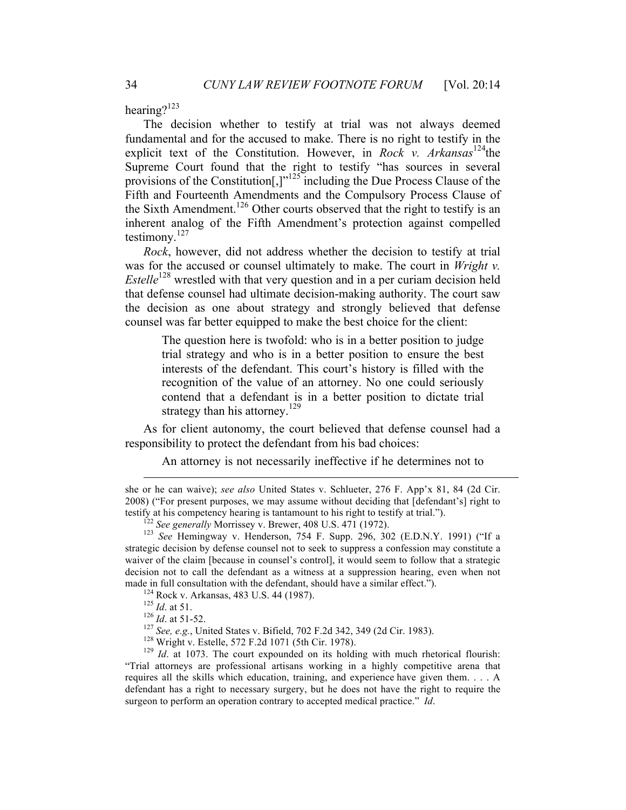hearing?123

The decision whether to testify at trial was not always deemed fundamental and for the accused to make. There is no right to testify in the explicit text of the Constitution. However, in *Rock v. Arkansas*<sup>124</sup>the Supreme Court found that the right to testify "has sources in several provisions of the Constitution<sup>[1], 125</sup> including the Due Process Clause of the Fifth and Fourteenth Amendments and the Compulsory Process Clause of the Sixth Amendment.<sup>126</sup> Other courts observed that the right to testify is an inherent analog of the Fifth Amendment's protection against compelled testimony. $127$ 

*Rock*, however, did not address whether the decision to testify at trial was for the accused or counsel ultimately to make. The court in *Wright v. Estelle*<sup>128</sup> wrestled with that very question and in a per curiam decision held that defense counsel had ultimate decision-making authority. The court saw the decision as one about strategy and strongly believed that defense counsel was far better equipped to make the best choice for the client:

The question here is twofold: who is in a better position to judge trial strategy and who is in a better position to ensure the best interests of the defendant. This court's history is filled with the recognition of the value of an attorney. No one could seriously contend that a defendant is in a better position to dictate trial strategy than his attorney.<sup>129</sup>

As for client autonomy, the court believed that defense counsel had a responsibility to protect the defendant from his bad choices:

An attorney is not necessarily ineffective if he determines not to

 $\overline{a}$ 

<sup>124</sup> Rock v. Arkansas, 483 U.S. 44 (1987).<br><sup>125</sup> *Id.* at 51.<br><sup>126</sup> *Id.* at 51-52.<br><sup>127</sup> *See, e.g.*, United States v. Bifield, 702 F.2d 342, 349 (2d Cir. 1983).<br><sup>128</sup> Wright v. Estelle, 572 F.2d 1071 (5th Cir. 1978).<br><sup></sup> "Trial attorneys are professional artisans working in a highly competitive arena that requires all the skills which education, training, and experience have given them. . . . A defendant has a right to necessary surgery, but he does not have the right to require the surgeon to perform an operation contrary to accepted medical practice." *Id*.

she or he can waive); *see also* United States v. Schlueter, 276 F. App'x 81, 84 (2d Cir. 2008) ("For present purposes, we may assume without deciding that [defendant's] right to testify at his competency hearing is tantamount to his right to testify at trial.").

<sup>&</sup>lt;sup>122</sup> See generally Morrissey v. Brewer, 408 U.S. 471 (1972).<br><sup>123</sup> See Hemingway v. Henderson, 754 F. Supp. 296, 302 (E.D.N.Y. 1991) ("If a strategic decision by defense counsel not to seek to suppress a confession may constitute a waiver of the claim [because in counsel's control], it would seem to follow that a strategic decision not to call the defendant as a witness at a suppression hearing, even when not made in full consultation with the defendant, should have a similar effect.").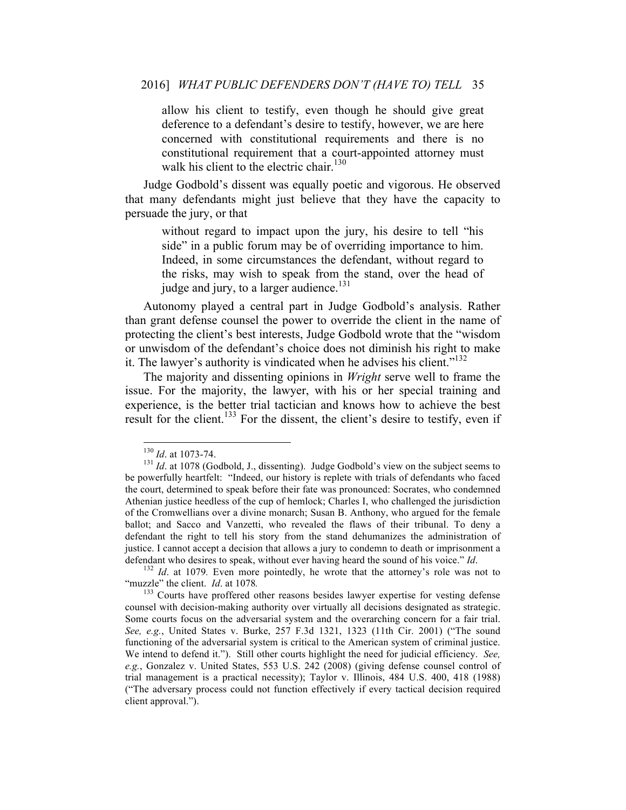allow his client to testify, even though he should give great deference to a defendant's desire to testify, however, we are here concerned with constitutional requirements and there is no constitutional requirement that a court-appointed attorney must walk his client to the electric chair.<sup>130</sup>

Judge Godbold's dissent was equally poetic and vigorous. He observed that many defendants might just believe that they have the capacity to persuade the jury, or that

without regard to impact upon the jury, his desire to tell "his side" in a public forum may be of overriding importance to him. Indeed, in some circumstances the defendant, without regard to the risks, may wish to speak from the stand, over the head of judge and jury, to a larger audience.<sup>131</sup>

Autonomy played a central part in Judge Godbold's analysis. Rather than grant defense counsel the power to override the client in the name of protecting the client's best interests, Judge Godbold wrote that the "wisdom or unwisdom of the defendant's choice does not diminish his right to make it. The lawyer's authority is vindicated when he advises his client."<sup>132</sup>

The majority and dissenting opinions in *Wright* serve well to frame the issue. For the majority, the lawyer, with his or her special training and experience, is the better trial tactician and knows how to achieve the best result for the client.<sup>133</sup> For the dissent, the client's desire to testify, even if

<sup>&</sup>lt;sup>130</sup> *Id.* at 1073-74.<br><sup>131</sup> *Id.* at 1078 (Godbold, J., dissenting). Judge Godbold's view on the subject seems to be powerfully heartfelt: "Indeed, our history is replete with trials of defendants who faced the court, determined to speak before their fate was pronounced: Socrates, who condemned Athenian justice heedless of the cup of hemlock; Charles I, who challenged the jurisdiction of the Cromwellians over a divine monarch; Susan B. Anthony, who argued for the female ballot; and Sacco and Vanzetti, who revealed the flaws of their tribunal. To deny a defendant the right to tell his story from the stand dehumanizes the administration of justice. I cannot accept a decision that allows a jury to condemn to death or imprisonment a

defendant who desires to speak, without ever having heard the sound of his voice." *Id*. <sup>132</sup> *Id*. at 1079. Even more pointedly, he wrote that the attorney's role was not to "muzzle" the client. *Id.* at 1078.

<sup>&</sup>lt;sup>133</sup> Courts have proffered other reasons besides lawyer expertise for vesting defense counsel with decision-making authority over virtually all decisions designated as strategic. Some courts focus on the adversarial system and the overarching concern for a fair trial. *See, e.g.*, United States v. Burke, 257 F.3d 1321, 1323 (11th Cir. 2001) ("The sound functioning of the adversarial system is critical to the American system of criminal justice. We intend to defend it."). Still other courts highlight the need for judicial efficiency. *See, e.g.*, Gonzalez v. United States, 553 U.S. 242 (2008) (giving defense counsel control of trial management is a practical necessity); Taylor v. Illinois, 484 U.S. 400, 418 (1988) ("The adversary process could not function effectively if every tactical decision required client approval.").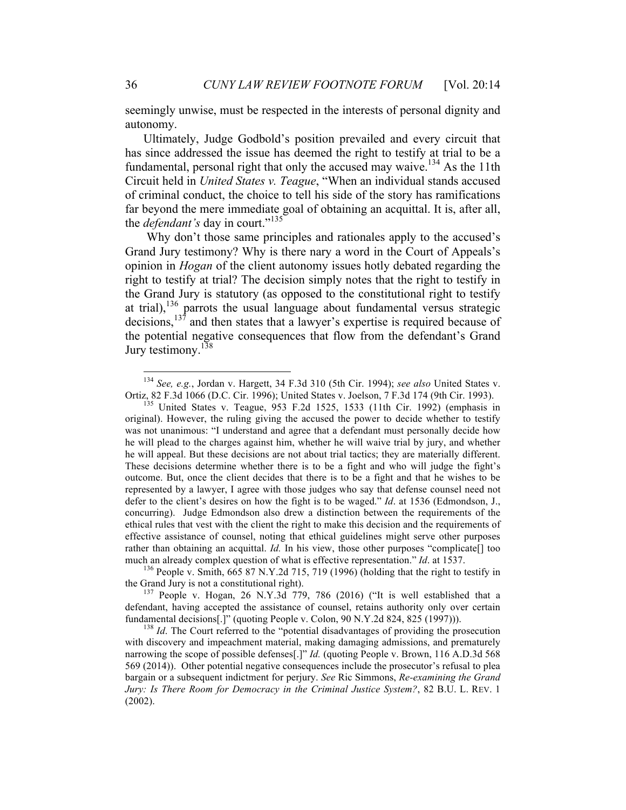seemingly unwise, must be respected in the interests of personal dignity and autonomy.

Ultimately, Judge Godbold's position prevailed and every circuit that has since addressed the issue has deemed the right to testify at trial to be a fundamental, personal right that only the accused may waive.<sup>134</sup> As the 11th Circuit held in *United States v. Teague*, "When an individual stands accused of criminal conduct, the choice to tell his side of the story has ramifications far beyond the mere immediate goal of obtaining an acquittal. It is, after all, the *defendant's* day in court."<sup>135</sup>

Why don't those same principles and rationales apply to the accused's Grand Jury testimony? Why is there nary a word in the Court of Appeals's opinion in *Hogan* of the client autonomy issues hotly debated regarding the right to testify at trial? The decision simply notes that the right to testify in the Grand Jury is statutory (as opposed to the constitutional right to testify at trial), $^{136}$  parrots the usual language about fundamental versus strategic decisions,  $137$  and then states that a lawyer's expertise is required because of the potential negative consequences that flow from the defendant's Grand Jury testimony.<sup>138</sup>

<sup>&</sup>lt;sup>134</sup> *See, e.g., Jordan v. Hargett, 34 F.3d 310 (5th Cir. 1994); see also United States v. Ortiz, 82 F.3d 1066 (D.C. Cir. 1996); United States v. Joelson, 7 F.3d 174 (9th Cir. 1993).* 

<sup>&</sup>lt;sup>135</sup> United States v. Teague, 953 F.2d 1525, 1533 (11th Cir. 1992) (emphasis in original). However, the ruling giving the accused the power to decide whether to testify was not unanimous: "I understand and agree that a defendant must personally decide how he will plead to the charges against him, whether he will waive trial by jury, and whether he will appeal. But these decisions are not about trial tactics; they are materially different. These decisions determine whether there is to be a fight and who will judge the fight's outcome. But, once the client decides that there is to be a fight and that he wishes to be represented by a lawyer, I agree with those judges who say that defense counsel need not defer to the client's desires on how the fight is to be waged." *Id*. at 1536 (Edmondson, J., concurring). Judge Edmondson also drew a distinction between the requirements of the ethical rules that vest with the client the right to make this decision and the requirements of effective assistance of counsel, noting that ethical guidelines might serve other purposes rather than obtaining an acquittal. *Id.* In his view, those other purposes "complicate[] too much an already complex question of what is effective representation." *Id.* at 1537.<br><sup>136</sup> People v. Smith, 665 87 N.Y.2d 715, 719 (1996) (holding that the right to testify in

the Grand Jury is not a constitutional right).<br><sup>137</sup> People v. Hogan, 26 N.Y.3d 779, 786 (2016) ("It is well established that a

defendant, having accepted the assistance of counsel, retains authority only over certain fundamental decisions[.]" (quoting People v. Colon, 90 N.Y.2d 824, 825 (1997))). <sup>138</sup> *Id*. The Court referred to the "potential disadvantages of providing the prosecution

with discovery and impeachment material, making damaging admissions, and prematurely narrowing the scope of possible defenses[.]" *Id.* (quoting People v. Brown, 116 A.D.3d 568 569 (2014)). Other potential negative consequences include the prosecutor's refusal to plea bargain or a subsequent indictment for perjury. *See* Ric Simmons, *Re-examining the Grand Jury: Is There Room for Democracy in the Criminal Justice System?*, 82 B.U. L. REV. 1 (2002).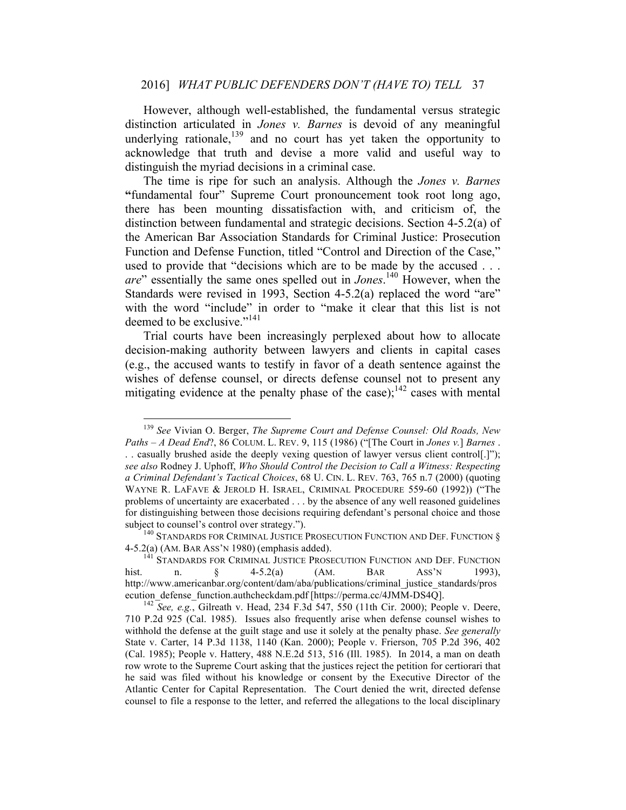#### 2016] *WHAT PUBLIC DEFENDERS DON'T (HAVE TO) TELL* 37

However, although well-established, the fundamental versus strategic distinction articulated in *Jones v. Barnes* is devoid of any meaningful underlying rationale, $139$  and no court has yet taken the opportunity to acknowledge that truth and devise a more valid and useful way to distinguish the myriad decisions in a criminal case.

The time is ripe for such an analysis. Although the *Jones v. Barnes* **"**fundamental four" Supreme Court pronouncement took root long ago, there has been mounting dissatisfaction with, and criticism of, the distinction between fundamental and strategic decisions. Section 4-5.2(a) of the American Bar Association Standards for Criminal Justice: Prosecution Function and Defense Function, titled "Control and Direction of the Case," used to provide that "decisions which are to be made by the accused . . . *are*" essentially the same ones spelled out in *Jones*. <sup>140</sup> However, when the Standards were revised in 1993, Section 4-5.2(a) replaced the word "are" with the word "include" in order to "make it clear that this list is not deemed to be exclusive."<sup>141</sup>

Trial courts have been increasingly perplexed about how to allocate decision-making authority between lawyers and clients in capital cases (e.g., the accused wants to testify in favor of a death sentence against the wishes of defense counsel, or directs defense counsel not to present any mitigating evidence at the penalty phase of the case); $142$  cases with mental

 <sup>139</sup> *See* Vivian O. Berger, *The Supreme Court and Defense Counsel: Old Roads, New Paths – A Dead End*?, 86 COLUM. L. REV. 9, 115 (1986) ("[The Court in *Jones v.*] *Barnes* . . . casually brushed aside the deeply vexing question of lawyer versus client control[.]"); *see also* Rodney J. Uphoff, *Who Should Control the Decision to Call a Witness: Respecting a Criminal Defendant's Tactical Choices*, 68 U. CIN. L. REV. 763, 765 n.7 (2000) (quoting WAYNE R. LAFAVE & JEROLD H. ISRAEL, CRIMINAL PROCEDURE 559-60 (1992)) ("The problems of uncertainty are exacerbated . . . by the absence of any well reasoned guidelines for distinguishing between those decisions requiring defendant's personal choice and those subject to counsel's control over strategy.").<br><sup>140</sup> STANDARDS FOR CRIMINAL JUSTICE PROSECUTION FUNCTION AND DEF. FUNCTION §

<sup>4-5.2(</sup>a) (AM. BAR ASS'N 1980) (emphasis added).<br><sup>141</sup> STANDARDS FOR CRIMINAL JUSTICE PROSECUTION FUNCTION AND DEF. FUNCTION

hist. n. § 4-5.2(a) (AM. BAR ASS'N 1993), http://www.americanbar.org/content/dam/aba/publications/criminal\_justice\_standards/pros ecution\_defense\_function.authcheckdam.pdf [https://perma.cc/4JMM-DS4Q]. <sup>142</sup> *See, e.g.*, Gilreath v. Head, 234 F.3d 547, 550 (11th Cir. 2000); People v. Deere,

<sup>710</sup> P.2d 925 (Cal. 1985). Issues also frequently arise when defense counsel wishes to withhold the defense at the guilt stage and use it solely at the penalty phase. *See generally* State v. Carter, 14 P.3d 1138, 1140 (Kan. 2000); People v. Frierson, 705 P.2d 396, 402 (Cal. 1985); People v. Hattery, 488 N.E.2d 513, 516 (Ill. 1985). In 2014, a man on death row wrote to the Supreme Court asking that the justices reject the petition for certiorari that he said was filed without his knowledge or consent by the Executive Director of the Atlantic Center for Capital Representation. The Court denied the writ, directed defense counsel to file a response to the letter, and referred the allegations to the local disciplinary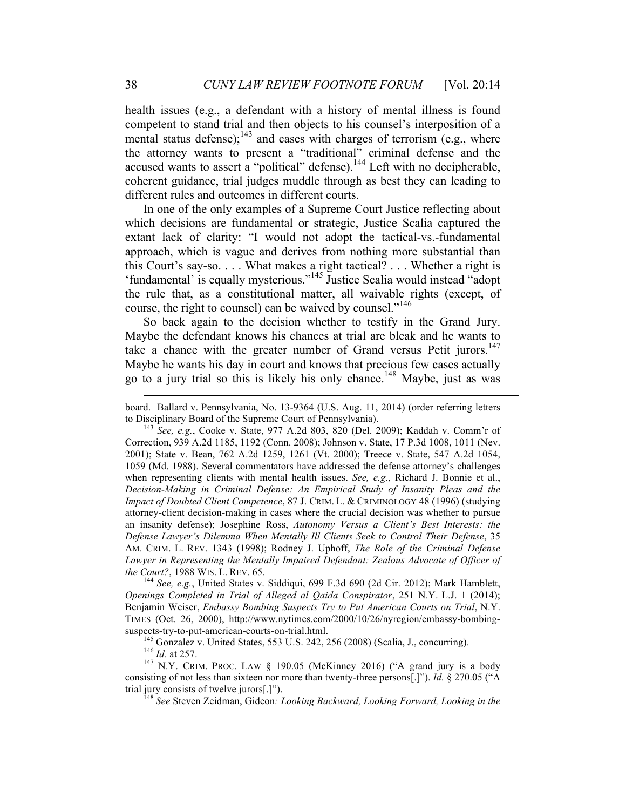health issues (e.g., a defendant with a history of mental illness is found competent to stand trial and then objects to his counsel's interposition of a mental status defense);<sup>143</sup> and cases with charges of terrorism (e.g., where the attorney wants to present a "traditional" criminal defense and the accused wants to assert a "political" defense).<sup>144</sup> Left with no decipherable, coherent guidance, trial judges muddle through as best they can leading to different rules and outcomes in different courts.

In one of the only examples of a Supreme Court Justice reflecting about which decisions are fundamental or strategic, Justice Scalia captured the extant lack of clarity: "I would not adopt the tactical-vs.-fundamental approach, which is vague and derives from nothing more substantial than this Court's say-so. . . . What makes a right tactical? . . . Whether a right is 'fundamental' is equally mysterious."<sup>145</sup> Justice Scalia would instead "adopt the rule that, as a constitutional matter, all waivable rights (except, of course, the right to counsel) can be waived by counsel."<sup>146</sup>

So back again to the decision whether to testify in the Grand Jury. Maybe the defendant knows his chances at trial are bleak and he wants to take a chance with the greater number of Grand versus Petit jurors.<sup>147</sup> Maybe he wants his day in court and knows that precious few cases actually go to a jury trial so this is likely his only chance.<sup>148</sup> Maybe, just as was

*Openings Completed in Trial of Alleged al Qaida Conspirator*, 251 N.Y. L.J. 1 (2014); Benjamin Weiser, *Embassy Bombing Suspects Try to Put American Courts on Trial*, N.Y. TIMES (Oct. 26, 2000), http://www.nytimes.com/2000/10/26/nyregion/embassy-bombingsuspects-try-to-put-american-courts-on-trial.html.<br><sup>145</sup> Gonzalez v. United States, 553 U.S. 242, 256 (2008) (Scalia, J., concurring).<br><sup>146</sup> *Id.* at 257.<br><sup>147</sup> N.Y. CRIM. PROC. LAW § 190.05 (McKinney 2016) ("A grand jury

consisting of not less than sixteen nor more than twenty-three persons[.]"). *Id.* § 270.05 ("A trial jury consists of twelve jurors[.]").

<sup>148</sup> See Steven Zeidman, Gideon: *Looking Backward, Looking Forward, Looking in the* 

board. Ballard v. Pennsylvania, No. 13-9364 (U.S. Aug. 11, 2014) (order referring letters to Disciplinary Board of the Supreme Court of Pennsylvania). 143 *See, e.g.*, Cooke v. State, 977 A.2d 803, 820 (Del. 2009); Kaddah v. Comm'r of

Correction, 939 A.2d 1185, 1192 (Conn. 2008); Johnson v. State, 17 P.3d 1008, 1011 (Nev. 2001); State v. Bean, 762 A.2d 1259, 1261 (Vt. 2000); Treece v. State, 547 A.2d 1054, 1059 (Md. 1988). Several commentators have addressed the defense attorney's challenges when representing clients with mental health issues. *See, e.g.*, Richard J. Bonnie et al., *Decision-Making in Criminal Defense: An Empirical Study of Insanity Pleas and the Impact of Doubted Client Competence*, 87 J. CRIM. L. & CRIMINOLOGY 48 (1996) (studying attorney-client decision-making in cases where the crucial decision was whether to pursue an insanity defense); Josephine Ross, *Autonomy Versus a Client's Best Interests: the Defense Lawyer's Dilemma When Mentally Ill Clients Seek to Control Their Defense*, 35 AM. CRIM. L. REV. 1343 (1998); Rodney J. Uphoff, *The Role of the Criminal Defense Lawyer in Representing the Mentally Impaired Defendant: Zealous Advocate of Officer of the Court?*, 1988 WIS. L. REV. 65. 144 *See, e.g.*, United States v. Siddiqui, 699 F.3d 690 (2d Cir. 2012); Mark Hamblett,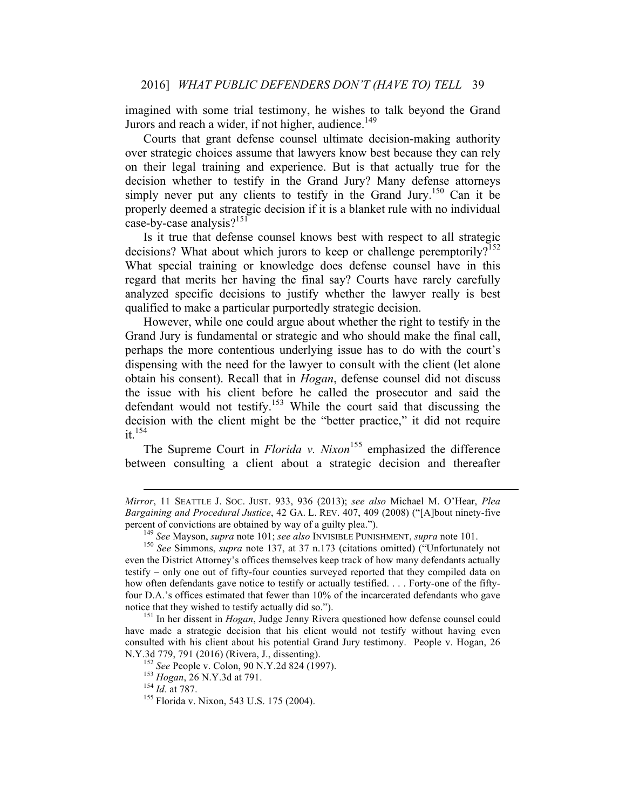imagined with some trial testimony, he wishes to talk beyond the Grand Jurors and reach a wider, if not higher, audience.<sup>149</sup>

Courts that grant defense counsel ultimate decision-making authority over strategic choices assume that lawyers know best because they can rely on their legal training and experience. But is that actually true for the decision whether to testify in the Grand Jury? Many defense attorneys simply never put any clients to testify in the Grand Jury.<sup>150</sup> Can it be properly deemed a strategic decision if it is a blanket rule with no individual case-by-case analysis? $151$ 

Is it true that defense counsel knows best with respect to all strategic decisions? What about which jurors to keep or challenge peremptorily?<sup>152</sup> What special training or knowledge does defense counsel have in this regard that merits her having the final say? Courts have rarely carefully analyzed specific decisions to justify whether the lawyer really is best qualified to make a particular purportedly strategic decision.

However, while one could argue about whether the right to testify in the Grand Jury is fundamental or strategic and who should make the final call, perhaps the more contentious underlying issue has to do with the court's dispensing with the need for the lawyer to consult with the client (let alone obtain his consent). Recall that in *Hogan*, defense counsel did not discuss the issue with his client before he called the prosecutor and said the defendant would not testify.<sup>153</sup> While the court said that discussing the decision with the client might be the "better practice," it did not require it.154

The Supreme Court in *Florida v. Nixon*<sup>155</sup> emphasized the difference between consulting a client about a strategic decision and thereafter

 $\overline{a}$ 

*Mirror*, 11 SEATTLE J. SOC. JUST. 933, 936 (2013); *see also* Michael M. O'Hear, *Plea Bargaining and Procedural Justice*, 42 GA. L. REV. 407, 409 (2008) ("[A]bout ninety-five percent of convictions are obtained by way of a guilty plea.").<br><sup>149</sup> See Mayson, *supra* note 101; *see also* INVISIBLE PUNISHMENT, *supra* note 101.<br><sup>150</sup> See Simmons, *supra* note 137, at 37 n.173 (citations omitted) ("

even the District Attorney's offices themselves keep track of how many defendants actually testify – only one out of fifty-four counties surveyed reported that they compiled data on how often defendants gave notice to testify or actually testified. . . . Forty-one of the fiftyfour D.A.'s offices estimated that fewer than 10% of the incarcerated defendants who gave notice that they wished to testify actually did so.").

<sup>&</sup>lt;sup>151</sup> In her dissent in *Hogan*, Judge Jenny Rivera questioned how defense counsel could have made a strategic decision that his client would not testify without having even consulted with his client about his potential Grand Jury testimony. People v. Hogan, 26 N.Y.3d 779, 791 (2016) (Rivera, J., dissenting).<br><sup>152</sup> *See* People v. Colon, 90 N.Y.2d 824 (1997).<br><sup>153</sup> *Hogan*, 26 N.Y.3d at 791.<br><sup>154</sup> *Id.* at 787.<br><sup>155</sup> Florida v. Nixon, 543 U.S. 175 (2004).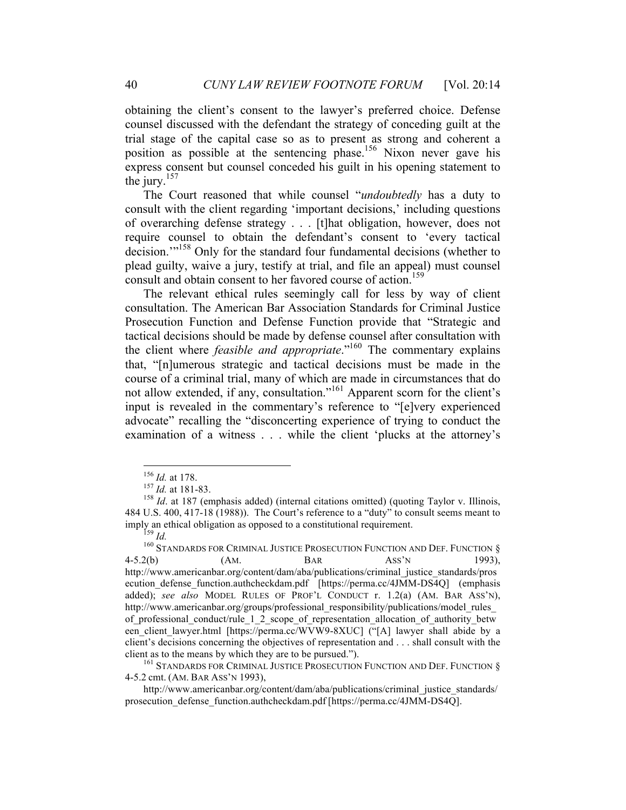obtaining the client's consent to the lawyer's preferred choice. Defense counsel discussed with the defendant the strategy of conceding guilt at the trial stage of the capital case so as to present as strong and coherent a position as possible at the sentencing phase.156 Nixon never gave his express consent but counsel conceded his guilt in his opening statement to the jury. $157$ 

The Court reasoned that while counsel "*undoubtedly* has a duty to consult with the client regarding 'important decisions,' including questions of overarching defense strategy . . . [t]hat obligation, however, does not require counsel to obtain the defendant's consent to 'every tactical decision.<sup>"158</sup> Only for the standard four fundamental decisions (whether to plead guilty, waive a jury, testify at trial, and file an appeal) must counsel consult and obtain consent to her favored course of action.<sup>159</sup>

The relevant ethical rules seemingly call for less by way of client consultation. The American Bar Association Standards for Criminal Justice Prosecution Function and Defense Function provide that "Strategic and tactical decisions should be made by defense counsel after consultation with the client where *feasible and appropriate*."<sup>160</sup> The commentary explains that, "[n]umerous strategic and tactical decisions must be made in the course of a criminal trial, many of which are made in circumstances that do not allow extended, if any, consultation."<sup>161</sup> Apparent scorn for the client's input is revealed in the commentary's reference to "[e]very experienced advocate" recalling the "disconcerting experience of trying to conduct the examination of a witness . . . while the client 'plucks at the attorney's

4-5.2 cmt. (AM. BAR ASS'N 1993),

http://www.americanbar.org/content/dam/aba/publications/criminal\_justice\_standards/ prosecution\_defense\_function.authcheckdam.pdf [https://perma.cc/4JMM-DS4Q].

<sup>&</sup>lt;sup>156</sup> *Id.* at 178.<br><sup>157</sup> *Id.* at 181-83.<br><sup>158</sup> *Id.* at 187 (emphasis added) (internal citations omitted) (quoting Taylor v. Illinois, 484 U.S. 400, 417-18 (1988)). The Court's reference to a "duty" to consult seems meant to

imply an ethical obligation as opposed to a constitutional requirement.<br><sup>159</sup> *Id.* <sup>160</sup> STANDARDS FOR CRIMINAL JUSTICE PROSECUTION FUNCTION AND DEF. FUNCTION § 4-5.2(b) (AM. BAR ASS'N 1993), http://www.americanbar.org/content/dam/aba/publications/criminal\_justice\_standards/pros ecution\_defense\_function.authcheckdam.pdf [https://perma.cc/4JMM-DS4Q] (emphasis added); *see also* MODEL RULES OF PROF'L CONDUCT r. 1.2(a) (AM. BAR ASS'N), http://www.americanbar.org/groups/professional\_responsibility/publications/model\_rules\_ of\_professional\_conduct/rule\_1\_2\_scope\_of\_representation\_allocation\_of\_authority\_betw een client lawyer.html [https://perma.cc/WVW9-8XUC] ("[A] lawyer shall abide by a client's decisions concerning the objectives of representation and . . . shall consult with the client as to the means by which they are to be pursued.").<br><sup>161</sup> STANDARDS FOR CRIMINAL JUSTICE PROSECUTION FUNCTION AND DEF. FUNCTION §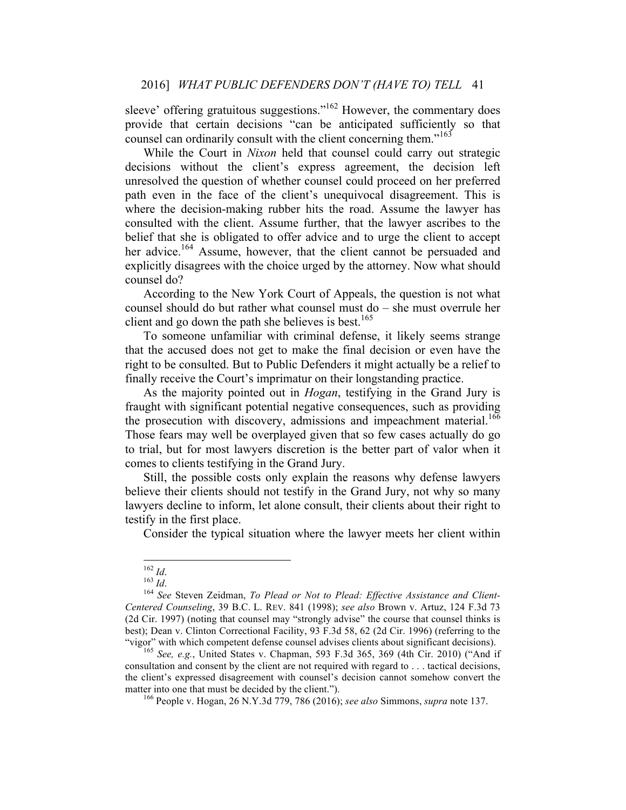### 2016] *WHAT PUBLIC DEFENDERS DON'T (HAVE TO) TELL* 41

sleeve' offering gratuitous suggestions."<sup>162</sup> However, the commentary does provide that certain decisions "can be anticipated sufficiently so that counsel can ordinarily consult with the client concerning them."<sup>163</sup>

While the Court in *Nixon* held that counsel could carry out strategic decisions without the client's express agreement, the decision left unresolved the question of whether counsel could proceed on her preferred path even in the face of the client's unequivocal disagreement. This is where the decision-making rubber hits the road. Assume the lawyer has consulted with the client. Assume further, that the lawyer ascribes to the belief that she is obligated to offer advice and to urge the client to accept her advice.<sup>164</sup> Assume, however, that the client cannot be persuaded and explicitly disagrees with the choice urged by the attorney. Now what should counsel do?

According to the New York Court of Appeals, the question is not what counsel should do but rather what counsel must do – she must overrule her client and go down the path she believes is best.<sup>165</sup>

To someone unfamiliar with criminal defense, it likely seems strange that the accused does not get to make the final decision or even have the right to be consulted. But to Public Defenders it might actually be a relief to finally receive the Court's imprimatur on their longstanding practice.

As the majority pointed out in *Hogan*, testifying in the Grand Jury is fraught with significant potential negative consequences, such as providing the prosecution with discovery, admissions and impeachment material.<sup>166</sup> Those fears may well be overplayed given that so few cases actually do go to trial, but for most lawyers discretion is the better part of valor when it comes to clients testifying in the Grand Jury.

Still, the possible costs only explain the reasons why defense lawyers believe their clients should not testify in the Grand Jury, not why so many lawyers decline to inform, let alone consult, their clients about their right to testify in the first place.

Consider the typical situation where the lawyer meets her client within

<sup>&</sup>lt;sup>162</sup> *Id.*<br><sup>163</sup> *Id.* See Steven Zeidman, *To Plead or Not to Plead: Effective Assistance and Client-Centered Counseling*, 39 B.C. L. REV. 841 (1998); *see also* Brown v. Artuz, 124 F.3d 73 (2d Cir. 1997) (noting that counsel may "strongly advise" the course that counsel thinks is best); Dean v. Clinton Correctional Facility, 93 F.3d 58, 62 (2d Cir. 1996) (referring to the "vigor" with which competent defense counsel advises clients about significant decisions). <sup>165</sup> *See, e.g.*, United States v. Chapman, 593 F.3d 365, 369 (4th Cir. 2010) ("And if

consultation and consent by the client are not required with regard to . . . tactical decisions, the client's expressed disagreement with counsel's decision cannot somehow convert the matter into one that must be decided by the client.").<br><sup>166</sup> People v. Hogan, 26 N.Y.3d 779, 786 (2016); *see also* Simmons, *supra* note 137.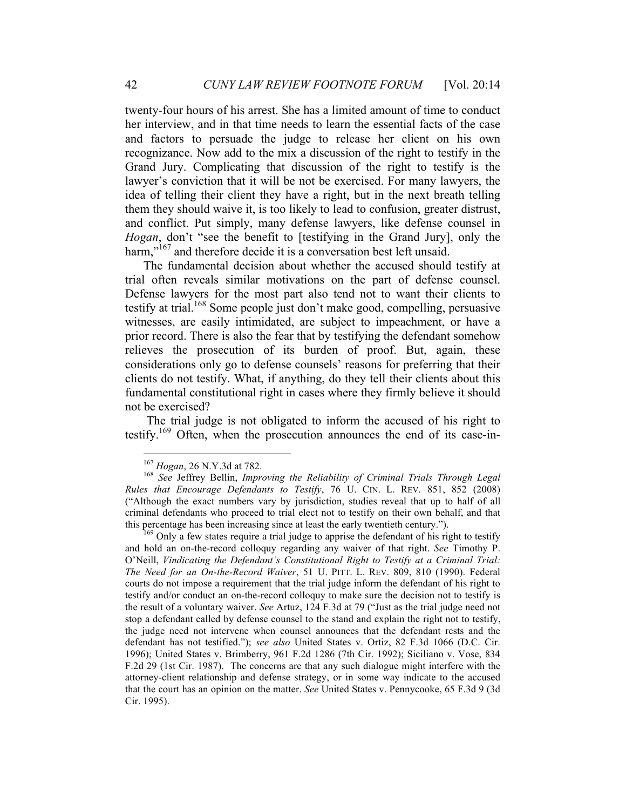twenty-four hours of his arrest. She has a limited amount of time to conduct her interview, and in that time needs to learn the essential facts of the case and factors to persuade the judge to release her client on his own recognizance. Now add to the mix a discussion of the right to testify in the Grand Jury. Complicating that discussion of the right to testify is the lawyer's conviction that it will be not be exercised. For many lawyers, the idea of telling their client they have a right, but in the next breath telling them they should waive it, is too likely to lead to confusion, greater distrust, and conflict. Put simply, many defense lawyers, like defense counsel in *Hogan*, don't "see the benefit to [testifying in the Grand Jury], only the harm,"<sup>167</sup> and therefore decide it is a conversation best left unsaid.

The fundamental decision about whether the accused should testify at trial often reveals similar motivations on the part of defense counsel. Defense lawyers for the most part also tend not to want their clients to testify at trial.<sup>168</sup> Some people just don't make good, compelling, persuasive witnesses, are easily intimidated, are subject to impeachment, or have a prior record. There is also the fear that by testifying the defendant somehow relieves the prosecution of its burden of proof. But, again, these considerations only go to defense counsels' reasons for preferring that their clients do not testify. What, if anything, do they tell their clients about this fundamental constitutional right in cases where they firmly believe it should not be exercised?

The trial judge is not obligated to inform the accused of his right to testify.<sup>169</sup> Often, when the prosecution announces the end of its case-in-

<sup>&</sup>lt;sup>167</sup> *Hogan*, 26 N.Y.3d at 782.<br><sup>168</sup> *See* Jeffrey Bellin, *Improving the Reliability of Criminal Trials Through Legal Rules that Encourage Defendants to Testify*, 76 U. CIN. L. REV. 851, 852 (2008) ("Although the exact numbers vary by jurisdiction, studies reveal that up to half of all criminal defendants who proceed to trial elect not to testify on their own behalf, and that this percentage has been increasing since at least the early twentieth century.").<br><sup>169</sup> Only a few states require a trial judge to apprise the defendant of his right to testify

and hold an on-the-record colloquy regarding any waiver of that right. *See* Timothy P. O'Neill, *Vindicating the Defendant's Constitutional Right to Testify at a Criminal Trial: The Need for an On-the-Record Waiver*, 51 U. PITT. L. REV. 809, 810 (1990). Federal courts do not impose a requirement that the trial judge inform the defendant of his right to testify and/or conduct an on-the-record colloquy to make sure the decision not to testify is the result of a voluntary waiver. *See* Artuz, 124 F.3d at 79 ("Just as the trial judge need not stop a defendant called by defense counsel to the stand and explain the right not to testify, the judge need not intervene when counsel announces that the defendant rests and the defendant has not testified."); *see also* United States v. Ortiz, 82 F.3d 1066 (D.C. Cir. 1996); United States v. Brimberry, 961 F.2d 1286 (7th Cir. 1992); Siciliano v. Vose, 834 F.2d 29 (1st Cir. 1987). The concerns are that any such dialogue might interfere with the attorney-client relationship and defense strategy, or in some way indicate to the accused that the court has an opinion on the matter. *See* United States v. Pennycooke, 65 F.3d 9 (3d Cir. 1995).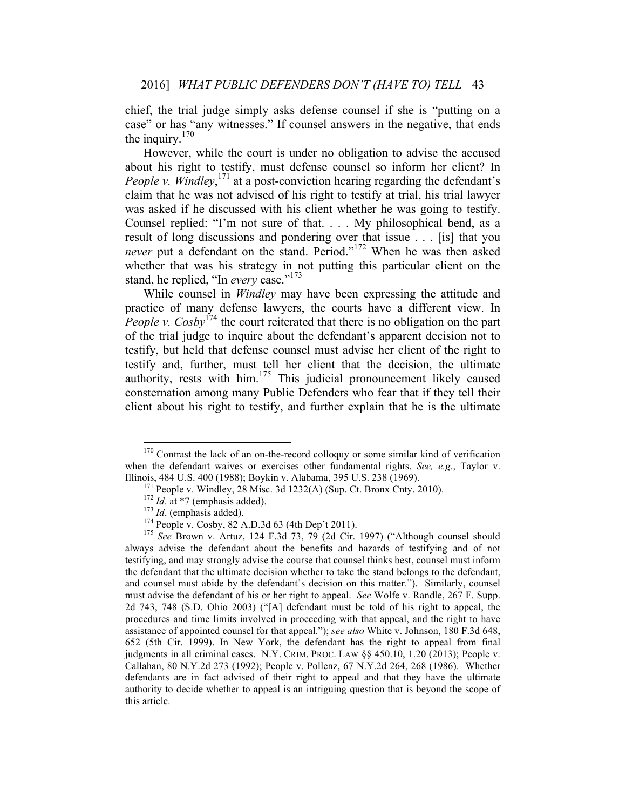chief, the trial judge simply asks defense counsel if she is "putting on a case" or has "any witnesses." If counsel answers in the negative, that ends the inquiry. $170$ 

However, while the court is under no obligation to advise the accused about his right to testify, must defense counsel so inform her client? In People v. Windley,<sup>171</sup> at a post-conviction hearing regarding the defendant's claim that he was not advised of his right to testify at trial, his trial lawyer was asked if he discussed with his client whether he was going to testify. Counsel replied: "I'm not sure of that. . . . My philosophical bend, as a result of long discussions and pondering over that issue . . . [is] that you *never* put a defendant on the stand. Period."<sup>172</sup> When he was then asked whether that was his strategy in not putting this particular client on the stand, he replied, "In *every* case."<sup>173</sup>

While counsel in *Windley* may have been expressing the attitude and practice of many defense lawyers, the courts have a different view. In *People v. Cosby*<sup>174</sup> the court reiterated that there is no obligation on the part of the trial judge to inquire about the defendant's apparent decision not to testify, but held that defense counsel must advise her client of the right to testify and, further, must tell her client that the decision, the ultimate authority, rests with him.<sup>175</sup> This judicial pronouncement likely caused consternation among many Public Defenders who fear that if they tell their client about his right to testify, and further explain that he is the ultimate

always advise the defendant about the benefits and hazards of testifying and of not testifying, and may strongly advise the course that counsel thinks best, counsel must inform the defendant that the ultimate decision whether to take the stand belongs to the defendant, and counsel must abide by the defendant's decision on this matter."). Similarly, counsel must advise the defendant of his or her right to appeal. *See* Wolfe v. Randle, 267 F. Supp. 2d 743, 748 (S.D. Ohio 2003) ("[A] defendant must be told of his right to appeal, the procedures and time limits involved in proceeding with that appeal, and the right to have assistance of appointed counsel for that appeal."); *see also* White v. Johnson, 180 F.3d 648, 652 (5th Cir. 1999). In New York, the defendant has the right to appeal from final judgments in all criminal cases. N.Y. CRIM. PROC. LAW §§ 450.10, 1.20 (2013); People v. Callahan, 80 N.Y.2d 273 (1992); People v. Pollenz, 67 N.Y.2d 264, 268 (1986). Whether defendants are in fact advised of their right to appeal and that they have the ultimate authority to decide whether to appeal is an intriguing question that is beyond the scope of this article.

 $170$  Contrast the lack of an on-the-record colloquy or some similar kind of verification when the defendant waives or exercises other fundamental rights. *See, e.g.*, Taylor v. Illinois, 484 U.S. 400 (1988); Boykin v. Alabama, 395 U.S. 238 (1969).<br>
<sup>171</sup> People v. Windley, 28 Misc. 3d 1232(A) (Sup. Ct. Bronx Cnty. 2010).<br>
<sup>172</sup> *Id.* at \*7 (emphasis added).<br>
<sup>173</sup> *Id.* (emphasis added).<br>
<sup>174</sup>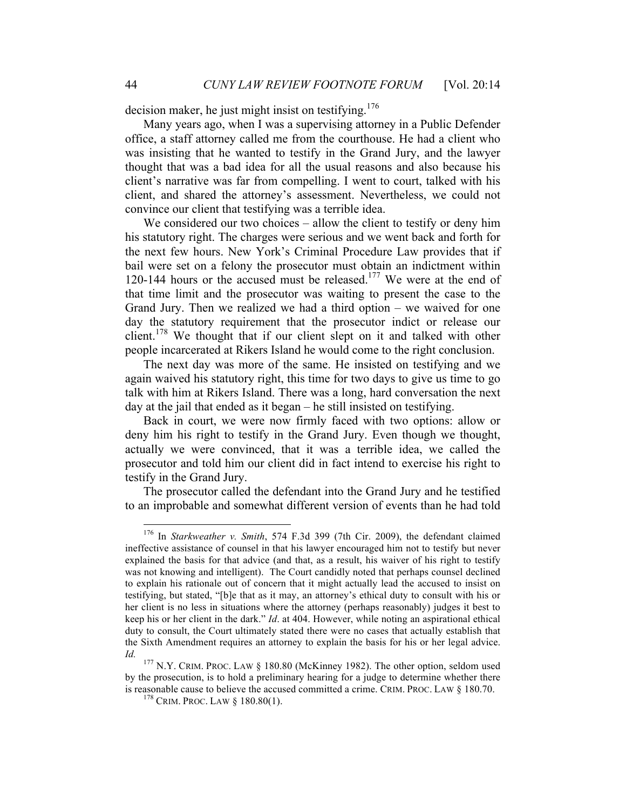decision maker, he just might insist on testifying.<sup>176</sup>

Many years ago, when I was a supervising attorney in a Public Defender office, a staff attorney called me from the courthouse. He had a client who was insisting that he wanted to testify in the Grand Jury, and the lawyer thought that was a bad idea for all the usual reasons and also because his client's narrative was far from compelling. I went to court, talked with his client, and shared the attorney's assessment. Nevertheless, we could not convince our client that testifying was a terrible idea.

We considered our two choices – allow the client to testify or deny him his statutory right. The charges were serious and we went back and forth for the next few hours. New York's Criminal Procedure Law provides that if bail were set on a felony the prosecutor must obtain an indictment within 120-144 hours or the accused must be released.<sup>177</sup> We were at the end of that time limit and the prosecutor was waiting to present the case to the Grand Jury. Then we realized we had a third option – we waived for one day the statutory requirement that the prosecutor indict or release our client.<sup>178</sup> We thought that if our client slept on it and talked with other people incarcerated at Rikers Island he would come to the right conclusion.

The next day was more of the same. He insisted on testifying and we again waived his statutory right, this time for two days to give us time to go talk with him at Rikers Island. There was a long, hard conversation the next day at the jail that ended as it began – he still insisted on testifying.

Back in court, we were now firmly faced with two options: allow or deny him his right to testify in the Grand Jury. Even though we thought, actually we were convinced, that it was a terrible idea, we called the prosecutor and told him our client did in fact intend to exercise his right to testify in the Grand Jury.

The prosecutor called the defendant into the Grand Jury and he testified to an improbable and somewhat different version of events than he had told

 <sup>176</sup> In *Starkweather v. Smith*, 574 F.3d 399 (7th Cir. 2009), the defendant claimed ineffective assistance of counsel in that his lawyer encouraged him not to testify but never explained the basis for that advice (and that, as a result, his waiver of his right to testify was not knowing and intelligent). The Court candidly noted that perhaps counsel declined to explain his rationale out of concern that it might actually lead the accused to insist on testifying, but stated, "[b]e that as it may, an attorney's ethical duty to consult with his or her client is no less in situations where the attorney (perhaps reasonably) judges it best to keep his or her client in the dark." *Id*. at 404. However, while noting an aspirational ethical duty to consult, the Court ultimately stated there were no cases that actually establish that the Sixth Amendment requires an attorney to explain the basis for his or her legal advice.

*Id.*<sup>177</sup> N.Y. CRIM. PROC. LAW § 180.80 (McKinney 1982). The other option, seldom used by the prosecution, is to hold a preliminary hearing for a judge to determine whether there is reasonable cause to believe the accused committed a crime. CRIM. PROC. LAW § 180.70. <sup>178</sup> CRIM. PROC. LAW § 180.80(1).